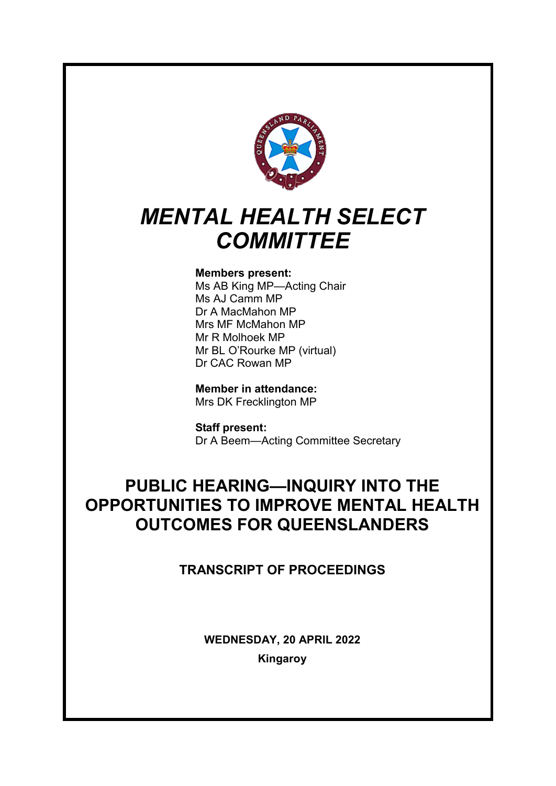

# *MENTAL HEALTH SELECT COMMITTEE*

# **Members present:**

Ms AB King MP—Acting Chair Ms AJ Camm MP Dr A MacMahon MP Mrs MF McMahon MP Mr R Molhoek MP Mr BL O'Rourke MP (virtual) Dr CAC Rowan MP

**Member in attendance:** Mrs DK Frecklington MP

**Staff present:** Dr A Beem—Acting Committee Secretary

# **PUBLIC HEARING—INQUIRY INTO THE OPPORTUNITIES TO IMPROVE MENTAL HEALTH OUTCOMES FOR QUEENSLANDERS**

# **TRANSCRIPT OF PROCEEDINGS**

**WEDNESDAY, 20 APRIL 2022 Kingaroy**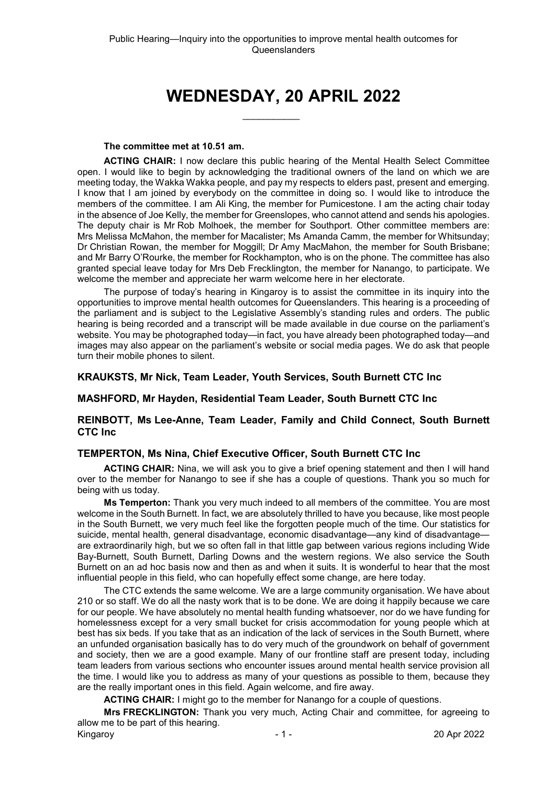# **WEDNESDAY, 20 APRIL 2022**

 $\overline{\phantom{a}}$ 

#### **The committee met at 10.51 am.**

**ACTING CHAIR:** I now declare this public hearing of the Mental Health Select Committee open. I would like to begin by acknowledging the traditional owners of the land on which we are meeting today, the Wakka Wakka people, and pay my respects to elders past, present and emerging. I know that I am joined by everybody on the committee in doing so. I would like to introduce the members of the committee. I am Ali King, the member for Pumicestone. I am the acting chair today in the absence of Joe Kelly, the member for Greenslopes, who cannot attend and sends his apologies. The deputy chair is Mr Rob Molhoek, the member for Southport. Other committee members are: Mrs Melissa McMahon, the member for Macalister; Ms Amanda Camm, the member for Whitsunday; Dr Christian Rowan, the member for Moggill; Dr Amy MacMahon, the member for South Brisbane; and Mr Barry O'Rourke, the member for Rockhampton, who is on the phone. The committee has also granted special leave today for Mrs Deb Frecklington, the member for Nanango, to participate. We welcome the member and appreciate her warm welcome here in her electorate.

The purpose of today's hearing in Kingaroy is to assist the committee in its inquiry into the opportunities to improve mental health outcomes for Queenslanders. This hearing is a proceeding of the parliament and is subject to the Legislative Assembly's standing rules and orders. The public hearing is being recorded and a transcript will be made available in due course on the parliament's website. You may be photographed today—in fact, you have already been photographed today—and images may also appear on the parliament's website or social media pages. We do ask that people turn their mobile phones to silent.

# **KRAUKSTS, Mr Nick, Team Leader, Youth Services, South Burnett CTC Inc**

# **MASHFORD, Mr Hayden, Residential Team Leader, South Burnett CTC Inc**

# **REINBOTT, Ms Lee-Anne, Team Leader, Family and Child Connect, South Burnett CTC Inc**

# **TEMPERTON, Ms Nina, Chief Executive Officer, South Burnett CTC Inc**

**ACTING CHAIR:** Nina, we will ask you to give a brief opening statement and then I will hand over to the member for Nanango to see if she has a couple of questions. Thank you so much for being with us today.

**Ms Temperton:** Thank you very much indeed to all members of the committee. You are most welcome in the South Burnett. In fact, we are absolutely thrilled to have you because, like most people in the South Burnett, we very much feel like the forgotten people much of the time. Our statistics for suicide, mental health, general disadvantage, economic disadvantage—any kind of disadvantage are extraordinarily high, but we so often fall in that little gap between various regions including Wide Bay-Burnett, South Burnett, Darling Downs and the western regions. We also service the South Burnett on an ad hoc basis now and then as and when it suits. It is wonderful to hear that the most influential people in this field, who can hopefully effect some change, are here today.

The CTC extends the same welcome. We are a large community organisation. We have about 210 or so staff. We do all the nasty work that is to be done. We are doing it happily because we care for our people. We have absolutely no mental health funding whatsoever, nor do we have funding for homelessness except for a very small bucket for crisis accommodation for young people which at best has six beds. If you take that as an indication of the lack of services in the South Burnett, where an unfunded organisation basically has to do very much of the groundwork on behalf of government and society, then we are a good example. Many of our frontline staff are present today, including team leaders from various sections who encounter issues around mental health service provision all the time. I would like you to address as many of your questions as possible to them, because they are the really important ones in this field. Again welcome, and fire away.

**ACTING CHAIR:** I might go to the member for Nanango for a couple of questions.

Kingaroy 20 Apr 2022 **Mrs FRECKLINGTON:** Thank you very much, Acting Chair and committee, for agreeing to allow me to be part of this hearing.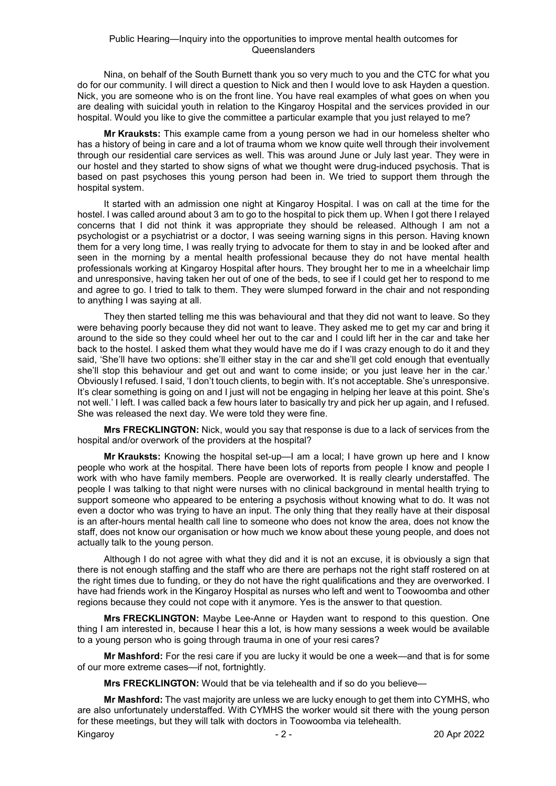Nina, on behalf of the South Burnett thank you so very much to you and the CTC for what you do for our community. I will direct a question to Nick and then I would love to ask Hayden a question. Nick, you are someone who is on the front line. You have real examples of what goes on when you are dealing with suicidal youth in relation to the Kingaroy Hospital and the services provided in our hospital. Would you like to give the committee a particular example that you just relayed to me?

**Mr Krauksts:** This example came from a young person we had in our homeless shelter who has a history of being in care and a lot of trauma whom we know quite well through their involvement through our residential care services as well. This was around June or July last year. They were in our hostel and they started to show signs of what we thought were drug-induced psychosis. That is based on past psychoses this young person had been in. We tried to support them through the hospital system.

It started with an admission one night at Kingaroy Hospital. I was on call at the time for the hostel. I was called around about 3 am to go to the hospital to pick them up. When I got there I relayed concerns that I did not think it was appropriate they should be released. Although I am not a psychologist or a psychiatrist or a doctor, I was seeing warning signs in this person. Having known them for a very long time, I was really trying to advocate for them to stay in and be looked after and seen in the morning by a mental health professional because they do not have mental health professionals working at Kingaroy Hospital after hours. They brought her to me in a wheelchair limp and unresponsive, having taken her out of one of the beds, to see if I could get her to respond to me and agree to go. I tried to talk to them. They were slumped forward in the chair and not responding to anything I was saying at all.

They then started telling me this was behavioural and that they did not want to leave. So they were behaving poorly because they did not want to leave. They asked me to get my car and bring it around to the side so they could wheel her out to the car and I could lift her in the car and take her back to the hostel. I asked them what they would have me do if I was crazy enough to do it and they said, 'She'll have two options: she'll either stay in the car and she'll get cold enough that eventually she'll stop this behaviour and get out and want to come inside; or you just leave her in the car.' Obviously I refused. I said, 'I don't touch clients, to begin with. It's not acceptable. She's unresponsive. It's clear something is going on and I just will not be engaging in helping her leave at this point. She's not well.' I left. I was called back a few hours later to basically try and pick her up again, and I refused. She was released the next day. We were told they were fine.

**Mrs FRECKLINGTON:** Nick, would you say that response is due to a lack of services from the hospital and/or overwork of the providers at the hospital?

**Mr Krauksts:** Knowing the hospital set-up—I am a local; I have grown up here and I know people who work at the hospital. There have been lots of reports from people I know and people I work with who have family members. People are overworked. It is really clearly understaffed. The people I was talking to that night were nurses with no clinical background in mental health trying to support someone who appeared to be entering a psychosis without knowing what to do. It was not even a doctor who was trying to have an input. The only thing that they really have at their disposal is an after-hours mental health call line to someone who does not know the area, does not know the staff, does not know our organisation or how much we know about these young people, and does not actually talk to the young person.

Although I do not agree with what they did and it is not an excuse, it is obviously a sign that there is not enough staffing and the staff who are there are perhaps not the right staff rostered on at the right times due to funding, or they do not have the right qualifications and they are overworked. I have had friends work in the Kingaroy Hospital as nurses who left and went to Toowoomba and other regions because they could not cope with it anymore. Yes is the answer to that question.

**Mrs FRECKLINGTON:** Maybe Lee-Anne or Hayden want to respond to this question. One thing I am interested in, because I hear this a lot, is how many sessions a week would be available to a young person who is going through trauma in one of your resi cares?

**Mr Mashford:** For the resi care if you are lucky it would be one a week—and that is for some of our more extreme cases—if not, fortnightly.

**Mrs FRECKLINGTON:** Would that be via telehealth and if so do you believe—

**Mr Mashford:** The vast majority are unless we are lucky enough to get them into CYMHS, who are also unfortunately understaffed. With CYMHS the worker would sit there with the young person for these meetings, but they will talk with doctors in Toowoomba via telehealth.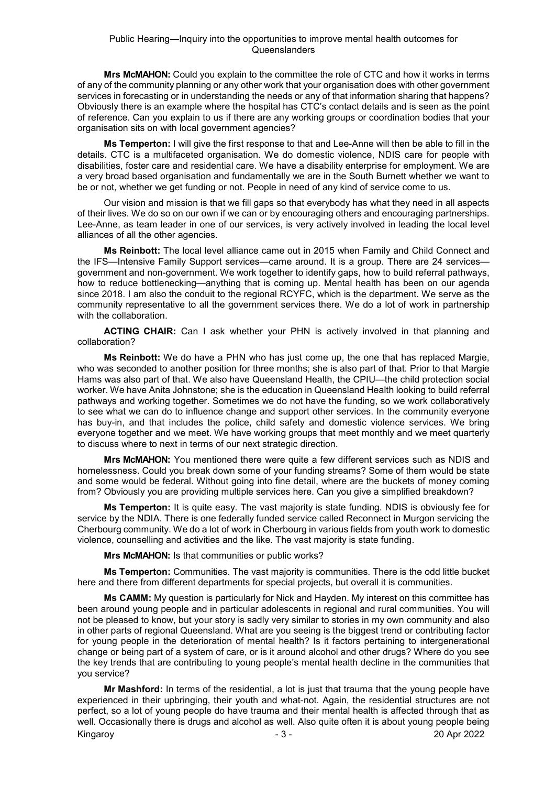**Mrs McMAHON:** Could you explain to the committee the role of CTC and how it works in terms of any of the community planning or any other work that your organisation does with other government services in forecasting or in understanding the needs or any of that information sharing that happens? Obviously there is an example where the hospital has CTC's contact details and is seen as the point of reference. Can you explain to us if there are any working groups or coordination bodies that your organisation sits on with local government agencies?

**Ms Temperton:** I will give the first response to that and Lee-Anne will then be able to fill in the details. CTC is a multifaceted organisation. We do domestic violence, NDIS care for people with disabilities, foster care and residential care. We have a disability enterprise for employment. We are a very broad based organisation and fundamentally we are in the South Burnett whether we want to be or not, whether we get funding or not. People in need of any kind of service come to us.

Our vision and mission is that we fill gaps so that everybody has what they need in all aspects of their lives. We do so on our own if we can or by encouraging others and encouraging partnerships. Lee-Anne, as team leader in one of our services, is very actively involved in leading the local level alliances of all the other agencies.

**Ms Reinbott:** The local level alliance came out in 2015 when Family and Child Connect and the IFS—Intensive Family Support services—came around. It is a group. There are 24 services government and non-government. We work together to identify gaps, how to build referral pathways, how to reduce bottlenecking—anything that is coming up. Mental health has been on our agenda since 2018. I am also the conduit to the regional RCYFC, which is the department. We serve as the community representative to all the government services there. We do a lot of work in partnership with the collaboration.

**ACTING CHAIR:** Can I ask whether your PHN is actively involved in that planning and collaboration?

**Ms Reinbott:** We do have a PHN who has just come up, the one that has replaced Margie, who was seconded to another position for three months; she is also part of that. Prior to that Margie Hams was also part of that. We also have Queensland Health, the CPIU—the child protection social worker. We have Anita Johnstone; she is the education in Queensland Health looking to build referral pathways and working together. Sometimes we do not have the funding, so we work collaboratively to see what we can do to influence change and support other services. In the community everyone has buy-in, and that includes the police, child safety and domestic violence services. We bring everyone together and we meet. We have working groups that meet monthly and we meet quarterly to discuss where to next in terms of our next strategic direction.

**Mrs McMAHON:** You mentioned there were quite a few different services such as NDIS and homelessness. Could you break down some of your funding streams? Some of them would be state and some would be federal. Without going into fine detail, where are the buckets of money coming from? Obviously you are providing multiple services here. Can you give a simplified breakdown?

**Ms Temperton:** It is quite easy. The vast majority is state funding. NDIS is obviously fee for service by the NDIA. There is one federally funded service called Reconnect in Murgon servicing the Cherbourg community. We do a lot of work in Cherbourg in various fields from youth work to domestic violence, counselling and activities and the like. The vast majority is state funding.

**Mrs McMAHON:** Is that communities or public works?

**Ms Temperton:** Communities. The vast majority is communities. There is the odd little bucket here and there from different departments for special projects, but overall it is communities.

**Ms CAMM:** My question is particularly for Nick and Hayden. My interest on this committee has been around young people and in particular adolescents in regional and rural communities. You will not be pleased to know, but your story is sadly very similar to stories in my own community and also in other parts of regional Queensland. What are you seeing is the biggest trend or contributing factor for young people in the deterioration of mental health? Is it factors pertaining to intergenerational change or being part of a system of care, or is it around alcohol and other drugs? Where do you see the key trends that are contributing to young people's mental health decline in the communities that you service?

Kingaroy - 3 - 20 Apr 2022 **Mr Mashford:** In terms of the residential, a lot is just that trauma that the young people have experienced in their upbringing, their youth and what-not. Again, the residential structures are not perfect, so a lot of young people do have trauma and their mental health is affected through that as well. Occasionally there is drugs and alcohol as well. Also quite often it is about young people being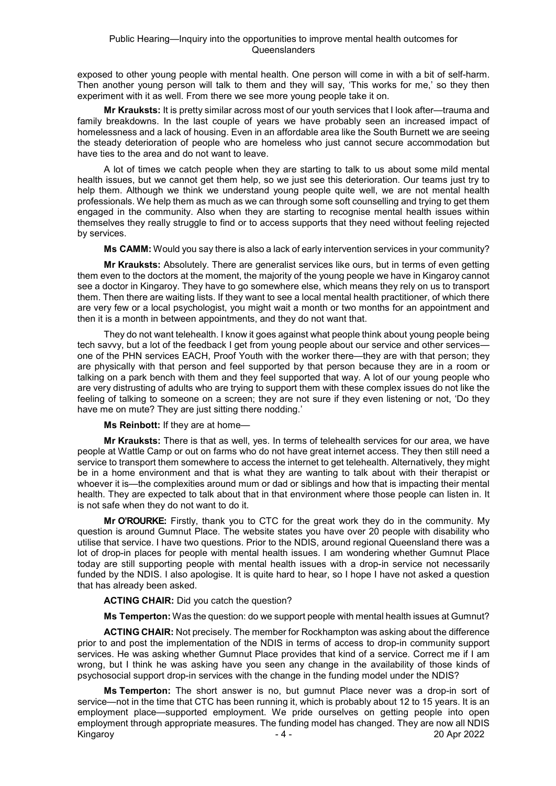exposed to other young people with mental health. One person will come in with a bit of self-harm. Then another young person will talk to them and they will say, 'This works for me,' so they then experiment with it as well. From there we see more young people take it on.

**Mr Krauksts:** It is pretty similar across most of our youth services that I look after—trauma and family breakdowns. In the last couple of years we have probably seen an increased impact of homelessness and a lack of housing. Even in an affordable area like the South Burnett we are seeing the steady deterioration of people who are homeless who just cannot secure accommodation but have ties to the area and do not want to leave.

A lot of times we catch people when they are starting to talk to us about some mild mental health issues, but we cannot get them help, so we just see this deterioration. Our teams just try to help them. Although we think we understand young people quite well, we are not mental health professionals. We help them as much as we can through some soft counselling and trying to get them engaged in the community. Also when they are starting to recognise mental health issues within themselves they really struggle to find or to access supports that they need without feeling rejected by services.

**Ms CAMM:** Would you say there is also a lack of early intervention services in your community?

**Mr Krauksts:** Absolutely. There are generalist services like ours, but in terms of even getting them even to the doctors at the moment, the majority of the young people we have in Kingaroy cannot see a doctor in Kingaroy. They have to go somewhere else, which means they rely on us to transport them. Then there are waiting lists. If they want to see a local mental health practitioner, of which there are very few or a local psychologist, you might wait a month or two months for an appointment and then it is a month in between appointments, and they do not want that.

They do not want telehealth. I know it goes against what people think about young people being tech savvy, but a lot of the feedback I get from young people about our service and other services one of the PHN services EACH, Proof Youth with the worker there—they are with that person; they are physically with that person and feel supported by that person because they are in a room or talking on a park bench with them and they feel supported that way. A lot of our young people who are very distrusting of adults who are trying to support them with these complex issues do not like the feeling of talking to someone on a screen; they are not sure if they even listening or not, 'Do they have me on mute? They are just sitting there nodding.'

**Ms Reinbott:** If they are at home—

**Mr Krauksts:** There is that as well, yes. In terms of telehealth services for our area, we have people at Wattle Camp or out on farms who do not have great internet access. They then still need a service to transport them somewhere to access the internet to get telehealth. Alternatively, they might be in a home environment and that is what they are wanting to talk about with their therapist or whoever it is—the complexities around mum or dad or siblings and how that is impacting their mental health. They are expected to talk about that in that environment where those people can listen in. It is not safe when they do not want to do it.

**Mr O'ROURKE:** Firstly, thank you to CTC for the great work they do in the community. My question is around Gumnut Place. The website states you have over 20 people with disability who utilise that service. I have two questions. Prior to the NDIS, around regional Queensland there was a lot of drop-in places for people with mental health issues. I am wondering whether Gumnut Place today are still supporting people with mental health issues with a drop-in service not necessarily funded by the NDIS. I also apologise. It is quite hard to hear, so I hope I have not asked a question that has already been asked.

**ACTING CHAIR:** Did you catch the question?

**Ms Temperton:** Was the question: do we support people with mental health issues at Gumnut?

**ACTING CHAIR:** Not precisely. The member for Rockhampton was asking about the difference prior to and post the implementation of the NDIS in terms of access to drop-in community support services. He was asking whether Gumnut Place provides that kind of a service. Correct me if I am wrong, but I think he was asking have you seen any change in the availability of those kinds of psychosocial support drop-in services with the change in the funding model under the NDIS?

Kingaroy 20 Apr 2022 **Ms Temperton:** The short answer is no, but gumnut Place never was a drop-in sort of service—not in the time that CTC has been running it, which is probably about 12 to 15 years. It is an employment place—supported employment. We pride ourselves on getting people into open employment through appropriate measures. The funding model has changed. They are now all NDIS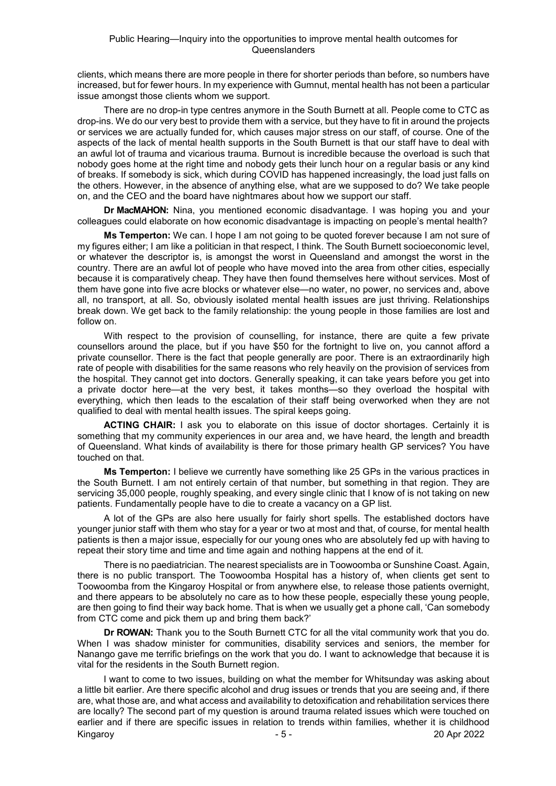clients, which means there are more people in there for shorter periods than before, so numbers have increased, but for fewer hours. In my experience with Gumnut, mental health has not been a particular issue amongst those clients whom we support.

There are no drop-in type centres anymore in the South Burnett at all. People come to CTC as drop-ins. We do our very best to provide them with a service, but they have to fit in around the projects or services we are actually funded for, which causes major stress on our staff, of course. One of the aspects of the lack of mental health supports in the South Burnett is that our staff have to deal with an awful lot of trauma and vicarious trauma. Burnout is incredible because the overload is such that nobody goes home at the right time and nobody gets their lunch hour on a regular basis or any kind of breaks. If somebody is sick, which during COVID has happened increasingly, the load just falls on the others. However, in the absence of anything else, what are we supposed to do? We take people on, and the CEO and the board have nightmares about how we support our staff.

**Dr MacMAHON:** Nina, you mentioned economic disadvantage. I was hoping you and your colleagues could elaborate on how economic disadvantage is impacting on people's mental health?

**Ms Temperton:** We can. I hope I am not going to be quoted forever because I am not sure of my figures either; I am like a politician in that respect, I think. The South Burnett socioeconomic level, or whatever the descriptor is, is amongst the worst in Queensland and amongst the worst in the country. There are an awful lot of people who have moved into the area from other cities, especially because it is comparatively cheap. They have then found themselves here without services. Most of them have gone into five acre blocks or whatever else—no water, no power, no services and, above all, no transport, at all. So, obviously isolated mental health issues are just thriving. Relationships break down. We get back to the family relationship: the young people in those families are lost and follow on.

With respect to the provision of counselling, for instance, there are quite a few private counsellors around the place, but if you have \$50 for the fortnight to live on, you cannot afford a private counsellor. There is the fact that people generally are poor. There is an extraordinarily high rate of people with disabilities for the same reasons who rely heavily on the provision of services from the hospital. They cannot get into doctors. Generally speaking, it can take years before you get into a private doctor here—at the very best, it takes months—so they overload the hospital with everything, which then leads to the escalation of their staff being overworked when they are not qualified to deal with mental health issues. The spiral keeps going.

**ACTING CHAIR:** I ask you to elaborate on this issue of doctor shortages. Certainly it is something that my community experiences in our area and, we have heard, the length and breadth of Queensland. What kinds of availability is there for those primary health GP services? You have touched on that.

**Ms Temperton:** I believe we currently have something like 25 GPs in the various practices in the South Burnett. I am not entirely certain of that number, but something in that region. They are servicing 35,000 people, roughly speaking, and every single clinic that I know of is not taking on new patients. Fundamentally people have to die to create a vacancy on a GP list.

A lot of the GPs are also here usually for fairly short spells. The established doctors have younger junior staff with them who stay for a year or two at most and that, of course, for mental health patients is then a major issue, especially for our young ones who are absolutely fed up with having to repeat their story time and time and time again and nothing happens at the end of it.

There is no paediatrician. The nearest specialists are in Toowoomba or Sunshine Coast. Again, there is no public transport. The Toowoomba Hospital has a history of, when clients get sent to Toowoomba from the Kingaroy Hospital or from anywhere else, to release those patients overnight, and there appears to be absolutely no care as to how these people, especially these young people, are then going to find their way back home. That is when we usually get a phone call, 'Can somebody from CTC come and pick them up and bring them back?'

**Dr ROWAN:** Thank you to the South Burnett CTC for all the vital community work that you do. When I was shadow minister for communities, disability services and seniors, the member for Nanango gave me terrific briefings on the work that you do. I want to acknowledge that because it is vital for the residents in the South Burnett region.

Kingaroy - 5 - 20 Apr 2022 I want to come to two issues, building on what the member for Whitsunday was asking about a little bit earlier. Are there specific alcohol and drug issues or trends that you are seeing and, if there are, what those are, and what access and availability to detoxification and rehabilitation services there are locally? The second part of my question is around trauma related issues which were touched on earlier and if there are specific issues in relation to trends within families, whether it is childhood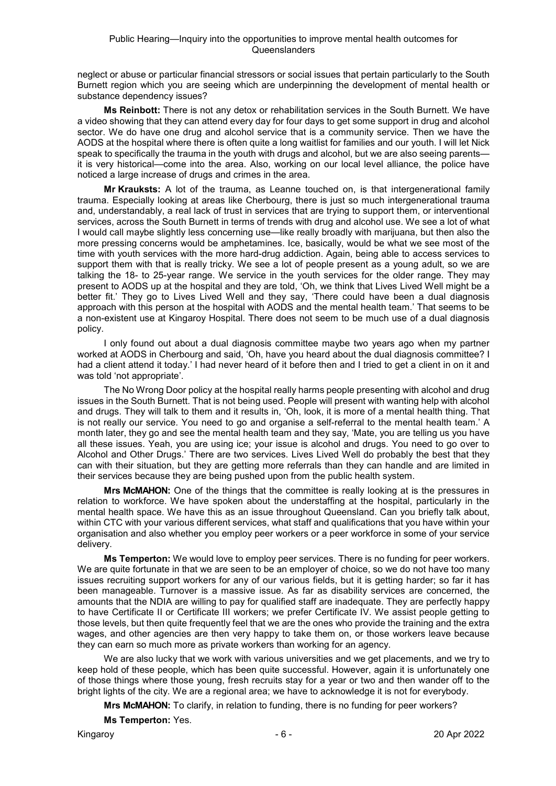neglect or abuse or particular financial stressors or social issues that pertain particularly to the South Burnett region which you are seeing which are underpinning the development of mental health or substance dependency issues?

**Ms Reinbott:** There is not any detox or rehabilitation services in the South Burnett. We have a video showing that they can attend every day for four days to get some support in drug and alcohol sector. We do have one drug and alcohol service that is a community service. Then we have the AODS at the hospital where there is often quite a long waitlist for families and our youth. I will let Nick speak to specifically the trauma in the youth with drugs and alcohol, but we are also seeing parents it is very historical—come into the area. Also, working on our local level alliance, the police have noticed a large increase of drugs and crimes in the area.

**Mr Krauksts:** A lot of the trauma, as Leanne touched on, is that intergenerational family trauma. Especially looking at areas like Cherbourg, there is just so much intergenerational trauma and, understandably, a real lack of trust in services that are trying to support them, or interventional services, across the South Burnett in terms of trends with drug and alcohol use. We see a lot of what I would call maybe slightly less concerning use—like really broadly with marijuana, but then also the more pressing concerns would be amphetamines. Ice, basically, would be what we see most of the time with youth services with the more hard-drug addiction. Again, being able to access services to support them with that is really tricky. We see a lot of people present as a young adult, so we are talking the 18- to 25-year range. We service in the youth services for the older range. They may present to AODS up at the hospital and they are told, 'Oh, we think that Lives Lived Well might be a better fit.' They go to Lives Lived Well and they say, 'There could have been a dual diagnosis approach with this person at the hospital with AODS and the mental health team.' That seems to be a non-existent use at Kingaroy Hospital. There does not seem to be much use of a dual diagnosis policy.

I only found out about a dual diagnosis committee maybe two years ago when my partner worked at AODS in Cherbourg and said, 'Oh, have you heard about the dual diagnosis committee? I had a client attend it today.' I had never heard of it before then and I tried to get a client in on it and was told 'not appropriate'.

The No Wrong Door policy at the hospital really harms people presenting with alcohol and drug issues in the South Burnett. That is not being used. People will present with wanting help with alcohol and drugs. They will talk to them and it results in, 'Oh, look, it is more of a mental health thing. That is not really our service. You need to go and organise a self-referral to the mental health team.' A month later, they go and see the mental health team and they say, 'Mate, you are telling us you have all these issues. Yeah, you are using ice; your issue is alcohol and drugs. You need to go over to Alcohol and Other Drugs.' There are two services. Lives Lived Well do probably the best that they can with their situation, but they are getting more referrals than they can handle and are limited in their services because they are being pushed upon from the public health system.

**Mrs McMAHON:** One of the things that the committee is really looking at is the pressures in relation to workforce. We have spoken about the understaffing at the hospital, particularly in the mental health space. We have this as an issue throughout Queensland. Can you briefly talk about, within CTC with your various different services, what staff and qualifications that you have within your organisation and also whether you employ peer workers or a peer workforce in some of your service delivery.

**Ms Temperton:** We would love to employ peer services. There is no funding for peer workers. We are quite fortunate in that we are seen to be an employer of choice, so we do not have too many issues recruiting support workers for any of our various fields, but it is getting harder; so far it has been manageable. Turnover is a massive issue. As far as disability services are concerned, the amounts that the NDIA are willing to pay for qualified staff are inadequate. They are perfectly happy to have Certificate II or Certificate III workers; we prefer Certificate IV. We assist people getting to those levels, but then quite frequently feel that we are the ones who provide the training and the extra wages, and other agencies are then very happy to take them on, or those workers leave because they can earn so much more as private workers than working for an agency.

We are also lucky that we work with various universities and we get placements, and we try to keep hold of these people, which has been quite successful. However, again it is unfortunately one of those things where those young, fresh recruits stay for a year or two and then wander off to the bright lights of the city. We are a regional area; we have to acknowledge it is not for everybody.

**Mrs McMAHON:** To clarify, in relation to funding, there is no funding for peer workers?

**Ms Temperton:** Yes.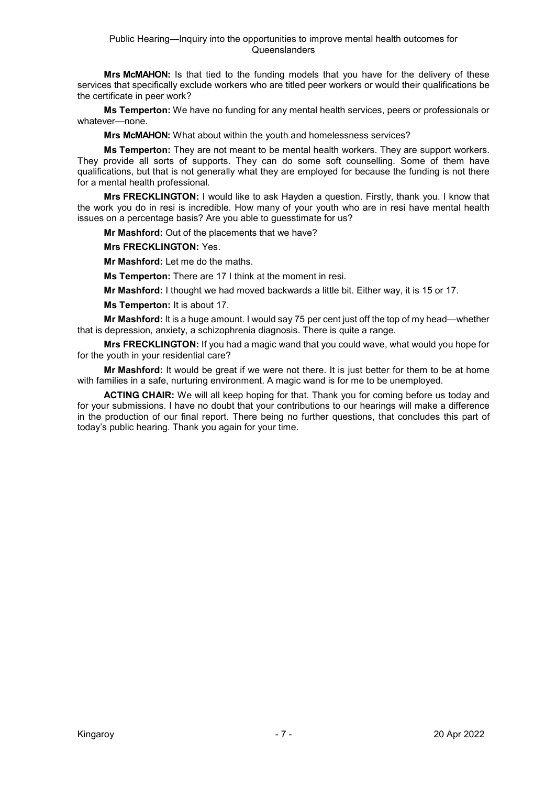**Mrs McMAHON:** Is that tied to the funding models that you have for the delivery of these services that specifically exclude workers who are titled peer workers or would their qualifications be the certificate in peer work?

**Ms Temperton:** We have no funding for any mental health services, peers or professionals or whatever—none.

**Mrs McMAHON:** What about within the youth and homelessness services?

**Ms Temperton:** They are not meant to be mental health workers. They are support workers. They provide all sorts of supports. They can do some soft counselling. Some of them have qualifications, but that is not generally what they are employed for because the funding is not there for a mental health professional.

**Mrs FRECKLINGTON:** I would like to ask Hayden a question. Firstly, thank you. I know that the work you do in resi is incredible. How many of your youth who are in resi have mental health issues on a percentage basis? Are you able to guesstimate for us?

**Mr Mashford:** Out of the placements that we have?

**Mrs FRECKLINGTON:** Yes.

**Mr Mashford:** Let me do the maths.

**Ms Temperton:** There are 17 I think at the moment in resi.

**Mr Mashford:** I thought we had moved backwards a little bit. Either way, it is 15 or 17.

**Ms Temperton:** It is about 17.

**Mr Mashford:** It is a huge amount. I would say 75 per cent just off the top of my head—whether that is depression, anxiety, a schizophrenia diagnosis. There is quite a range.

**Mrs FRECKLINGTON:** If you had a magic wand that you could wave, what would you hope for for the youth in your residential care?

**Mr Mashford:** It would be great if we were not there. It is just better for them to be at home with families in a safe, nurturing environment. A magic wand is for me to be unemployed.

**ACTING CHAIR:** We will all keep hoping for that. Thank you for coming before us today and for your submissions. I have no doubt that your contributions to our hearings will make a difference in the production of our final report. There being no further questions, that concludes this part of today's public hearing. Thank you again for your time.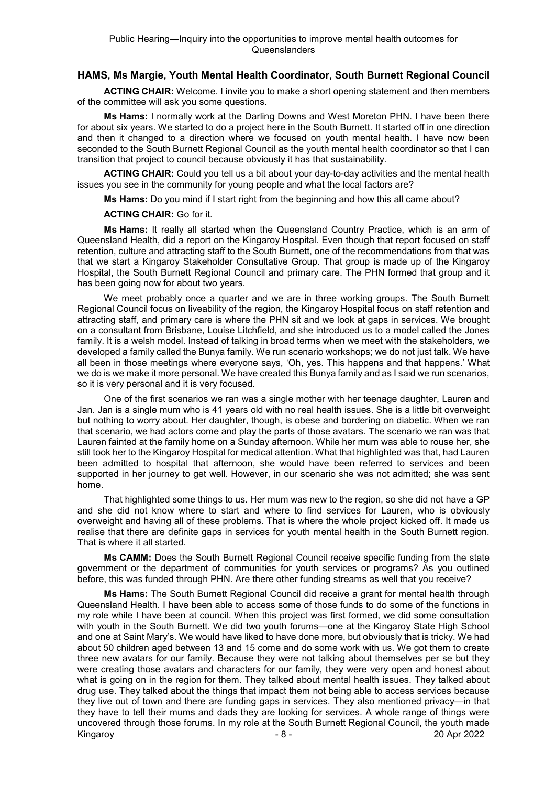# **HAMS, Ms Margie, Youth Mental Health Coordinator, South Burnett Regional Council**

**ACTING CHAIR:** Welcome. I invite you to make a short opening statement and then members of the committee will ask you some questions.

**Ms Hams:** I normally work at the Darling Downs and West Moreton PHN. I have been there for about six years. We started to do a project here in the South Burnett. It started off in one direction and then it changed to a direction where we focused on youth mental health. I have now been seconded to the South Burnett Regional Council as the youth mental health coordinator so that I can transition that project to council because obviously it has that sustainability.

**ACTING CHAIR:** Could you tell us a bit about your day-to-day activities and the mental health issues you see in the community for young people and what the local factors are?

**Ms Hams:** Do you mind if I start right from the beginning and how this all came about?

#### **ACTING CHAIR:** Go for it.

**Ms Hams:** It really all started when the Queensland Country Practice, which is an arm of Queensland Health, did a report on the Kingaroy Hospital. Even though that report focused on staff retention, culture and attracting staff to the South Burnett, one of the recommendations from that was that we start a Kingaroy Stakeholder Consultative Group. That group is made up of the Kingaroy Hospital, the South Burnett Regional Council and primary care. The PHN formed that group and it has been going now for about two years.

We meet probably once a quarter and we are in three working groups. The South Burnett Regional Council focus on liveability of the region, the Kingaroy Hospital focus on staff retention and attracting staff, and primary care is where the PHN sit and we look at gaps in services. We brought on a consultant from Brisbane, Louise Litchfield, and she introduced us to a model called the Jones family. It is a welsh model. Instead of talking in broad terms when we meet with the stakeholders, we developed a family called the Bunya family. We run scenario workshops; we do not just talk. We have all been in those meetings where everyone says, 'Oh, yes. This happens and that happens.' What we do is we make it more personal. We have created this Bunya family and as I said we run scenarios, so it is very personal and it is very focused.

One of the first scenarios we ran was a single mother with her teenage daughter, Lauren and Jan. Jan is a single mum who is 41 years old with no real health issues. She is a little bit overweight but nothing to worry about. Her daughter, though, is obese and bordering on diabetic. When we ran that scenario, we had actors come and play the parts of those avatars. The scenario we ran was that Lauren fainted at the family home on a Sunday afternoon. While her mum was able to rouse her, she still took her to the Kingaroy Hospital for medical attention. What that highlighted was that, had Lauren been admitted to hospital that afternoon, she would have been referred to services and been supported in her journey to get well. However, in our scenario she was not admitted; she was sent home.

That highlighted some things to us. Her mum was new to the region, so she did not have a GP and she did not know where to start and where to find services for Lauren, who is obviously overweight and having all of these problems. That is where the whole project kicked off. It made us realise that there are definite gaps in services for youth mental health in the South Burnett region. That is where it all started.

**Ms CAMM:** Does the South Burnett Regional Council receive specific funding from the state government or the department of communities for youth services or programs? As you outlined before, this was funded through PHN. Are there other funding streams as well that you receive?

Kingaroy 20 Apr 2022 **Ms Hams:** The South Burnett Regional Council did receive a grant for mental health through Queensland Health. I have been able to access some of those funds to do some of the functions in my role while I have been at council. When this project was first formed, we did some consultation with youth in the South Burnett. We did two youth forums—one at the Kingaroy State High School and one at Saint Mary's. We would have liked to have done more, but obviously that is tricky. We had about 50 children aged between 13 and 15 come and do some work with us. We got them to create three new avatars for our family. Because they were not talking about themselves per se but they were creating those avatars and characters for our family, they were very open and honest about what is going on in the region for them. They talked about mental health issues. They talked about drug use. They talked about the things that impact them not being able to access services because they live out of town and there are funding gaps in services. They also mentioned privacy—in that they have to tell their mums and dads they are looking for services. A whole range of things were uncovered through those forums. In my role at the South Burnett Regional Council, the youth made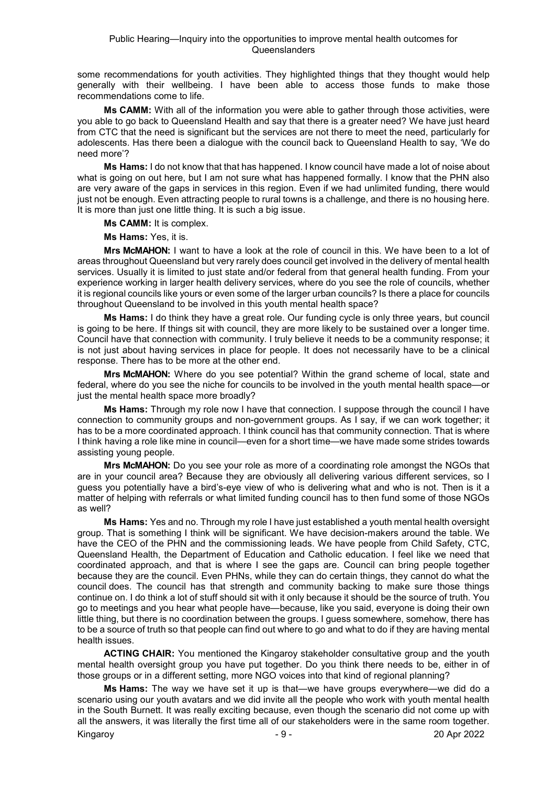some recommendations for youth activities. They highlighted things that they thought would help generally with their wellbeing. I have been able to access those funds to make those recommendations come to life.

**Ms CAMM:** With all of the information you were able to gather through those activities, were you able to go back to Queensland Health and say that there is a greater need? We have just heard from CTC that the need is significant but the services are not there to meet the need, particularly for adolescents. Has there been a dialogue with the council back to Queensland Health to say, 'We do need more'?

**Ms Hams:** I do not know that that has happened. I know council have made a lot of noise about what is going on out here, but I am not sure what has happened formally. I know that the PHN also are very aware of the gaps in services in this region. Even if we had unlimited funding, there would just not be enough. Even attracting people to rural towns is a challenge, and there is no housing here. It is more than just one little thing. It is such a big issue.

**Ms CAMM:** It is complex.

**Ms Hams:** Yes, it is.

**Mrs McMAHON:** I want to have a look at the role of council in this. We have been to a lot of areas throughout Queensland but very rarely does council get involved in the delivery of mental health services. Usually it is limited to just state and/or federal from that general health funding. From your experience working in larger health delivery services, where do you see the role of councils, whether it is regional councils like yours or even some of the larger urban councils? Is there a place for councils throughout Queensland to be involved in this youth mental health space?

**Ms Hams:** I do think they have a great role. Our funding cycle is only three years, but council is going to be here. If things sit with council, they are more likely to be sustained over a longer time. Council have that connection with community. I truly believe it needs to be a community response; it is not just about having services in place for people. It does not necessarily have to be a clinical response. There has to be more at the other end.

**Mrs McMAHON:** Where do you see potential? Within the grand scheme of local, state and federal, where do you see the niche for councils to be involved in the youth mental health space—or just the mental health space more broadly?

**Ms Hams:** Through my role now I have that connection. I suppose through the council I have connection to community groups and non-government groups. As I say, if we can work together; it has to be a more coordinated approach. I think council has that community connection. That is where I think having a role like mine in council—even for a short time—we have made some strides towards assisting young people.

**Mrs McMAHON:** Do you see your role as more of a coordinating role amongst the NGOs that are in your council area? Because they are obviously all delivering various different services, so I guess you potentially have a bird's-eye view of who is delivering what and who is not. Then is it a matter of helping with referrals or what limited funding council has to then fund some of those NGOs as well?

**Ms Hams:** Yes and no. Through my role I have just established a youth mental health oversight group. That is something I think will be significant. We have decision-makers around the table. We have the CEO of the PHN and the commissioning leads. We have people from Child Safety, CTC, Queensland Health, the Department of Education and Catholic education. I feel like we need that coordinated approach, and that is where I see the gaps are. Council can bring people together because they are the council. Even PHNs, while they can do certain things, they cannot do what the council does. The council has that strength and community backing to make sure those things continue on. I do think a lot of stuff should sit with it only because it should be the source of truth. You go to meetings and you hear what people have—because, like you said, everyone is doing their own little thing, but there is no coordination between the groups. I guess somewhere, somehow, there has to be a source of truth so that people can find out where to go and what to do if they are having mental health issues.

**ACTING CHAIR:** You mentioned the Kingaroy stakeholder consultative group and the youth mental health oversight group you have put together. Do you think there needs to be, either in of those groups or in a different setting, more NGO voices into that kind of regional planning?

Kingaroy 20 Apr 2022 **Ms Hams:** The way we have set it up is that—we have groups everywhere—we did do a scenario using our youth avatars and we did invite all the people who work with youth mental health in the South Burnett. It was really exciting because, even though the scenario did not come up with all the answers, it was literally the first time all of our stakeholders were in the same room together.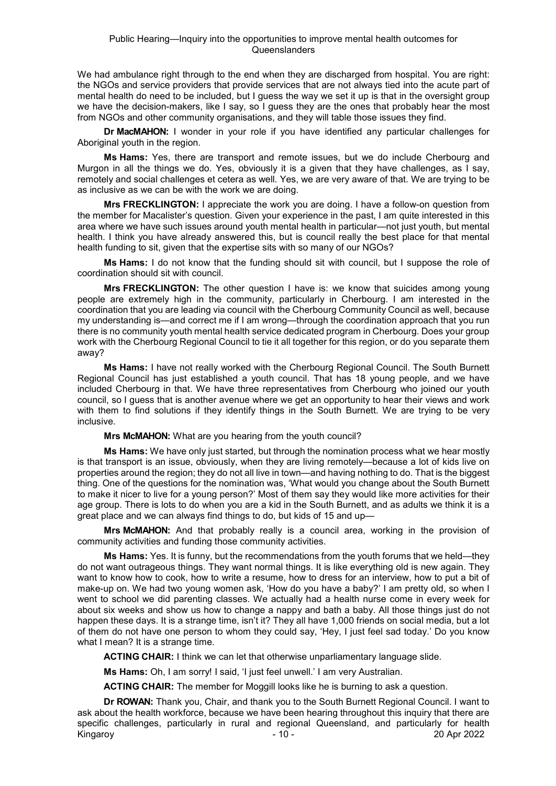We had ambulance right through to the end when they are discharged from hospital. You are right: the NGOs and service providers that provide services that are not always tied into the acute part of mental health do need to be included, but I guess the way we set it up is that in the oversight group we have the decision-makers, like I say, so I guess they are the ones that probably hear the most from NGOs and other community organisations, and they will table those issues they find.

**Dr MacMAHON:** I wonder in your role if you have identified any particular challenges for Aboriginal youth in the region.

**Ms Hams:** Yes, there are transport and remote issues, but we do include Cherbourg and Murgon in all the things we do. Yes, obviously it is a given that they have challenges, as I say, remotely and social challenges et cetera as well. Yes, we are very aware of that. We are trying to be as inclusive as we can be with the work we are doing.

**Mrs FRECKLINGTON:** I appreciate the work you are doing. I have a follow-on question from the member for Macalister's question. Given your experience in the past, I am quite interested in this area where we have such issues around youth mental health in particular—not just youth, but mental health. I think you have already answered this, but is council really the best place for that mental health funding to sit, given that the expertise sits with so many of our NGOs?

**Ms Hams:** I do not know that the funding should sit with council, but I suppose the role of coordination should sit with council.

**Mrs FRECKLINGTON:** The other question I have is: we know that suicides among young people are extremely high in the community, particularly in Cherbourg. I am interested in the coordination that you are leading via council with the Cherbourg Community Council as well, because my understanding is—and correct me if I am wrong—through the coordination approach that you run there is no community youth mental health service dedicated program in Cherbourg. Does your group work with the Cherbourg Regional Council to tie it all together for this region, or do you separate them away?

**Ms Hams:** I have not really worked with the Cherbourg Regional Council. The South Burnett Regional Council has just established a youth council. That has 18 young people, and we have included Cherbourg in that. We have three representatives from Cherbourg who joined our youth council, so I guess that is another avenue where we get an opportunity to hear their views and work with them to find solutions if they identify things in the South Burnett. We are trying to be very inclusive.

**Mrs McMAHON:** What are you hearing from the youth council?

**Ms Hams:** We have only just started, but through the nomination process what we hear mostly is that transport is an issue, obviously, when they are living remotely—because a lot of kids live on properties around the region; they do not all live in town—and having nothing to do. That is the biggest thing. One of the questions for the nomination was, 'What would you change about the South Burnett to make it nicer to live for a young person?' Most of them say they would like more activities for their age group. There is lots to do when you are a kid in the South Burnett, and as adults we think it is a great place and we can always find things to do, but kids of 15 and up—

**Mrs McMAHON:** And that probably really is a council area, working in the provision of community activities and funding those community activities.

**Ms Hams:** Yes. It is funny, but the recommendations from the youth forums that we held—they do not want outrageous things. They want normal things. It is like everything old is new again. They want to know how to cook, how to write a resume, how to dress for an interview, how to put a bit of make-up on. We had two young women ask, 'How do you have a baby?' I am pretty old, so when I went to school we did parenting classes. We actually had a health nurse come in every week for about six weeks and show us how to change a nappy and bath a baby. All those things just do not happen these days. It is a strange time, isn't it? They all have 1,000 friends on social media, but a lot of them do not have one person to whom they could say, 'Hey, I just feel sad today.' Do you know what I mean? It is a strange time.

**ACTING CHAIR:** I think we can let that otherwise unparliamentary language slide.

**Ms Hams:** Oh, I am sorry! I said, 'I just feel unwell.' I am very Australian.

**ACTING CHAIR:** The member for Moggill looks like he is burning to ask a question.

Kingaroy 20 Apr 2022 **Dr ROWAN:** Thank you, Chair, and thank you to the South Burnett Regional Council. I want to ask about the health workforce, because we have been hearing throughout this inquiry that there are specific challenges, particularly in rural and regional Queensland, and particularly for health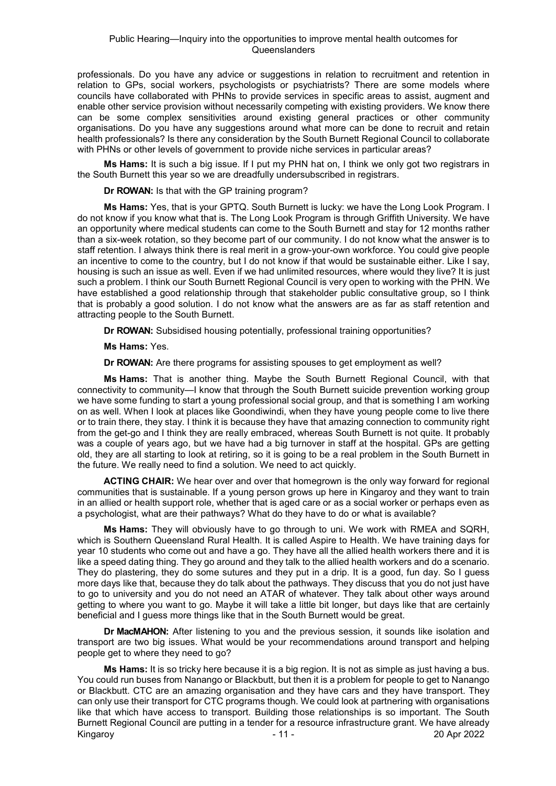professionals. Do you have any advice or suggestions in relation to recruitment and retention in relation to GPs, social workers, psychologists or psychiatrists? There are some models where councils have collaborated with PHNs to provide services in specific areas to assist, augment and enable other service provision without necessarily competing with existing providers. We know there can be some complex sensitivities around existing general practices or other community organisations. Do you have any suggestions around what more can be done to recruit and retain health professionals? Is there any consideration by the South Burnett Regional Council to collaborate with PHNs or other levels of government to provide niche services in particular areas?

**Ms Hams:** It is such a big issue. If I put my PHN hat on, I think we only got two registrars in the South Burnett this year so we are dreadfully undersubscribed in registrars.

**Dr ROWAN:** Is that with the GP training program?

**Ms Hams:** Yes, that is your GPTQ. South Burnett is lucky: we have the Long Look Program. I do not know if you know what that is. The Long Look Program is through Griffith University. We have an opportunity where medical students can come to the South Burnett and stay for 12 months rather than a six-week rotation, so they become part of our community. I do not know what the answer is to staff retention. I always think there is real merit in a grow-your-own workforce. You could give people an incentive to come to the country, but I do not know if that would be sustainable either. Like I say, housing is such an issue as well. Even if we had unlimited resources, where would they live? It is just such a problem. I think our South Burnett Regional Council is very open to working with the PHN. We have established a good relationship through that stakeholder public consultative group, so I think that is probably a good solution. I do not know what the answers are as far as staff retention and attracting people to the South Burnett.

**Dr ROWAN:** Subsidised housing potentially, professional training opportunities?

**Ms Hams:** Yes.

**Dr ROWAN:** Are there programs for assisting spouses to get employment as well?

**Ms Hams:** That is another thing. Maybe the South Burnett Regional Council, with that connectivity to community—I know that through the South Burnett suicide prevention working group we have some funding to start a young professional social group, and that is something I am working on as well. When I look at places like Goondiwindi, when they have young people come to live there or to train there, they stay. I think it is because they have that amazing connection to community right from the get-go and I think they are really embraced, whereas South Burnett is not quite. It probably was a couple of years ago, but we have had a big turnover in staff at the hospital. GPs are getting old, they are all starting to look at retiring, so it is going to be a real problem in the South Burnett in the future. We really need to find a solution. We need to act quickly.

**ACTING CHAIR:** We hear over and over that homegrown is the only way forward for regional communities that is sustainable. If a young person grows up here in Kingaroy and they want to train in an allied or health support role, whether that is aged care or as a social worker or perhaps even as a psychologist, what are their pathways? What do they have to do or what is available?

**Ms Hams:** They will obviously have to go through to uni. We work with RMEA and SQRH, which is Southern Queensland Rural Health. It is called Aspire to Health. We have training days for year 10 students who come out and have a go. They have all the allied health workers there and it is like a speed dating thing. They go around and they talk to the allied health workers and do a scenario. They do plastering, they do some sutures and they put in a drip. It is a good, fun day. So I guess more days like that, because they do talk about the pathways. They discuss that you do not just have to go to university and you do not need an ATAR of whatever. They talk about other ways around getting to where you want to go. Maybe it will take a little bit longer, but days like that are certainly beneficial and I guess more things like that in the South Burnett would be great.

**Dr MacMAHON:** After listening to you and the previous session, it sounds like isolation and transport are two big issues. What would be your recommendations around transport and helping people get to where they need to go?

Kingaroy - 11 - 20 Apr 2022 **Ms Hams:** It is so tricky here because it is a big region. It is not as simple as just having a bus. You could run buses from Nanango or Blackbutt, but then it is a problem for people to get to Nanango or Blackbutt. CTC are an amazing organisation and they have cars and they have transport. They can only use their transport for CTC programs though. We could look at partnering with organisations like that which have access to transport. Building those relationships is so important. The South Burnett Regional Council are putting in a tender for a resource infrastructure grant. We have already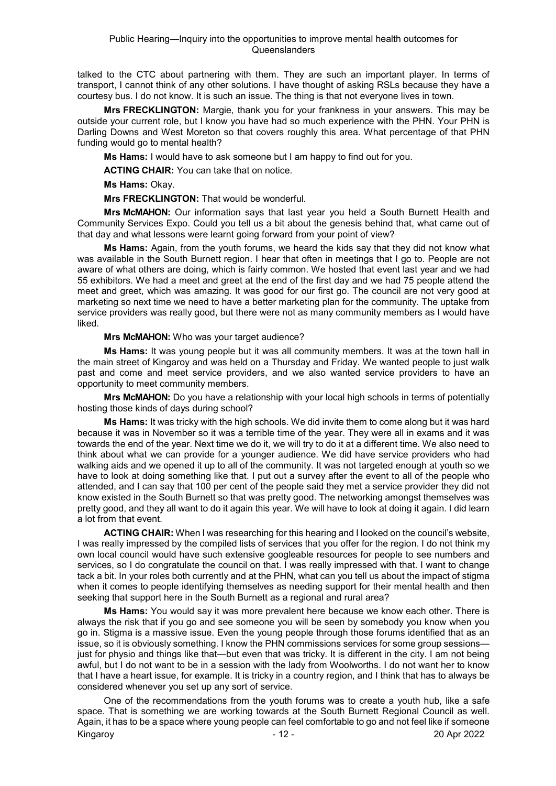talked to the CTC about partnering with them. They are such an important player. In terms of transport, I cannot think of any other solutions. I have thought of asking RSLs because they have a courtesy bus. I do not know. It is such an issue. The thing is that not everyone lives in town.

**Mrs FRECKLINGTON:** Margie, thank you for your frankness in your answers. This may be outside your current role, but I know you have had so much experience with the PHN. Your PHN is Darling Downs and West Moreton so that covers roughly this area. What percentage of that PHN funding would go to mental health?

**Ms Hams:** I would have to ask someone but I am happy to find out for you.

**ACTING CHAIR:** You can take that on notice.

**Ms Hams:** Okay.

**Mrs FRECKLINGTON:** That would be wonderful.

**Mrs McMAHON:** Our information says that last year you held a South Burnett Health and Community Services Expo. Could you tell us a bit about the genesis behind that, what came out of that day and what lessons were learnt going forward from your point of view?

**Ms Hams:** Again, from the youth forums, we heard the kids say that they did not know what was available in the South Burnett region. I hear that often in meetings that I go to. People are not aware of what others are doing, which is fairly common. We hosted that event last year and we had 55 exhibitors. We had a meet and greet at the end of the first day and we had 75 people attend the meet and greet, which was amazing. It was good for our first go. The council are not very good at marketing so next time we need to have a better marketing plan for the community. The uptake from service providers was really good, but there were not as many community members as I would have liked.

#### **Mrs McMAHON:** Who was your target audience?

**Ms Hams:** It was young people but it was all community members. It was at the town hall in the main street of Kingaroy and was held on a Thursday and Friday. We wanted people to just walk past and come and meet service providers, and we also wanted service providers to have an opportunity to meet community members.

**Mrs McMAHON:** Do you have a relationship with your local high schools in terms of potentially hosting those kinds of days during school?

**Ms Hams:** It was tricky with the high schools. We did invite them to come along but it was hard because it was in November so it was a terrible time of the year. They were all in exams and it was towards the end of the year. Next time we do it, we will try to do it at a different time. We also need to think about what we can provide for a younger audience. We did have service providers who had walking aids and we opened it up to all of the community. It was not targeted enough at youth so we have to look at doing something like that. I put out a survey after the event to all of the people who attended, and I can say that 100 per cent of the people said they met a service provider they did not know existed in the South Burnett so that was pretty good. The networking amongst themselves was pretty good, and they all want to do it again this year. We will have to look at doing it again. I did learn a lot from that event.

**ACTING CHAIR:** When I was researching for this hearing and I looked on the council's website, I was really impressed by the compiled lists of services that you offer for the region. I do not think my own local council would have such extensive googleable resources for people to see numbers and services, so I do congratulate the council on that. I was really impressed with that. I want to change tack a bit. In your roles both currently and at the PHN, what can you tell us about the impact of stigma when it comes to people identifying themselves as needing support for their mental health and then seeking that support here in the South Burnett as a regional and rural area?

**Ms Hams:** You would say it was more prevalent here because we know each other. There is always the risk that if you go and see someone you will be seen by somebody you know when you go in. Stigma is a massive issue. Even the young people through those forums identified that as an issue, so it is obviously something. I know the PHN commissions services for some group sessions just for physio and things like that—but even that was tricky. It is different in the city. I am not being awful, but I do not want to be in a session with the lady from Woolworths. I do not want her to know that I have a heart issue, for example. It is tricky in a country region, and I think that has to always be considered whenever you set up any sort of service.

Kingaroy 2022 - 12 - 20 Apr 2022 One of the recommendations from the youth forums was to create a youth hub, like a safe space. That is something we are working towards at the South Burnett Regional Council as well. Again, it has to be a space where young people can feel comfortable to go and not feel like if someone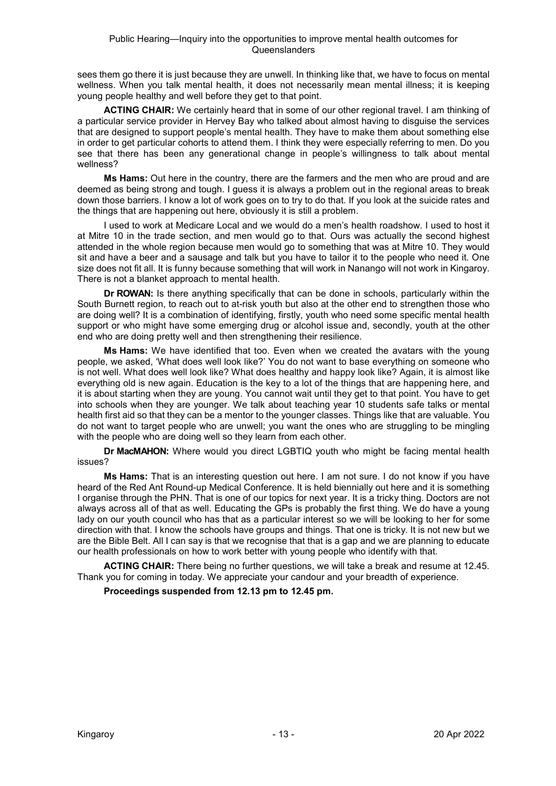sees them go there it is just because they are unwell. In thinking like that, we have to focus on mental wellness. When you talk mental health, it does not necessarily mean mental illness; it is keeping young people healthy and well before they get to that point.

**ACTING CHAIR:** We certainly heard that in some of our other regional travel. I am thinking of a particular service provider in Hervey Bay who talked about almost having to disguise the services that are designed to support people's mental health. They have to make them about something else in order to get particular cohorts to attend them. I think they were especially referring to men. Do you see that there has been any generational change in people's willingness to talk about mental wellness?

**Ms Hams:** Out here in the country, there are the farmers and the men who are proud and are deemed as being strong and tough. I guess it is always a problem out in the regional areas to break down those barriers. I know a lot of work goes on to try to do that. If you look at the suicide rates and the things that are happening out here, obviously it is still a problem.

I used to work at Medicare Local and we would do a men's health roadshow. I used to host it at Mitre 10 in the trade section, and men would go to that. Ours was actually the second highest attended in the whole region because men would go to something that was at Mitre 10. They would sit and have a beer and a sausage and talk but you have to tailor it to the people who need it. One size does not fit all. It is funny because something that will work in Nanango will not work in Kingaroy. There is not a blanket approach to mental health.

**Dr ROWAN:** Is there anything specifically that can be done in schools, particularly within the South Burnett region, to reach out to at-risk youth but also at the other end to strengthen those who are doing well? It is a combination of identifying, firstly, youth who need some specific mental health support or who might have some emerging drug or alcohol issue and, secondly, youth at the other end who are doing pretty well and then strengthening their resilience.

**Ms Hams:** We have identified that too. Even when we created the avatars with the young people, we asked, 'What does well look like?' You do not want to base everything on someone who is not well. What does well look like? What does healthy and happy look like? Again, it is almost like everything old is new again. Education is the key to a lot of the things that are happening here, and it is about starting when they are young. You cannot wait until they get to that point. You have to get into schools when they are younger. We talk about teaching year 10 students safe talks or mental health first aid so that they can be a mentor to the younger classes. Things like that are valuable. You do not want to target people who are unwell; you want the ones who are struggling to be mingling with the people who are doing well so they learn from each other.

**Dr MacMAHON:** Where would you direct LGBTIQ youth who might be facing mental health issues?

**Ms Hams:** That is an interesting question out here. I am not sure. I do not know if you have heard of the Red Ant Round-up Medical Conference. It is held biennially out here and it is something I organise through the PHN. That is one of our topics for next year. It is a tricky thing. Doctors are not always across all of that as well. Educating the GPs is probably the first thing. We do have a young lady on our youth council who has that as a particular interest so we will be looking to her for some direction with that. I know the schools have groups and things. That one is tricky. It is not new but we are the Bible Belt. All I can say is that we recognise that that is a gap and we are planning to educate our health professionals on how to work better with young people who identify with that.

**ACTING CHAIR:** There being no further questions, we will take a break and resume at 12.45. Thank you for coming in today. We appreciate your candour and your breadth of experience.

**Proceedings suspended from 12.13 pm to 12.45 pm.**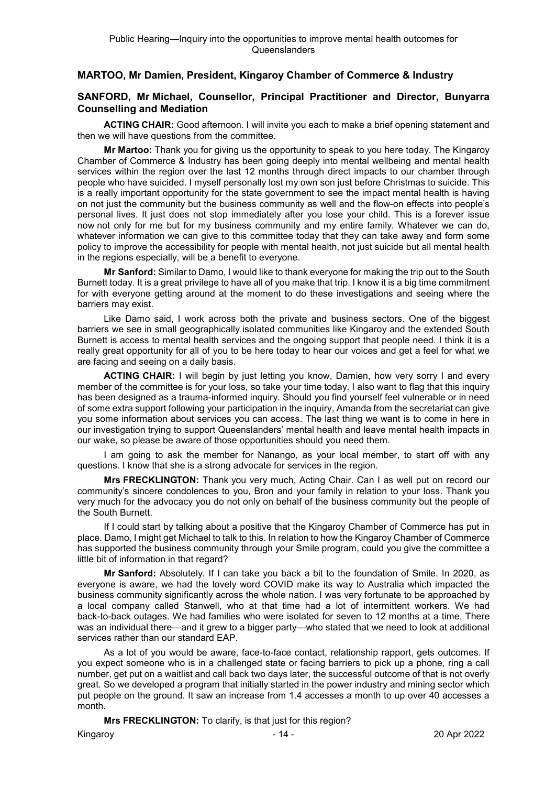# **MARTOO, Mr Damien, President, Kingaroy Chamber of Commerce & Industry**

# **SANFORD, Mr Michael, Counsellor, Principal Practitioner and Director, Bunyarra Counselling and Mediation**

**ACTING CHAIR:** Good afternoon. I will invite you each to make a brief opening statement and then we will have questions from the committee.

**Mr Martoo:** Thank you for giving us the opportunity to speak to you here today. The Kingaroy Chamber of Commerce & Industry has been going deeply into mental wellbeing and mental health services within the region over the last 12 months through direct impacts to our chamber through people who have suicided. I myself personally lost my own son just before Christmas to suicide. This is a really important opportunity for the state government to see the impact mental health is having on not just the community but the business community as well and the flow-on effects into people's personal lives. It just does not stop immediately after you lose your child. This is a forever issue now not only for me but for my business community and my entire family. Whatever we can do, whatever information we can give to this committee today that they can take away and form some policy to improve the accessibility for people with mental health, not just suicide but all mental health in the regions especially, will be a benefit to everyone.

**Mr Sanford:** Similar to Damo, I would like to thank everyone for making the trip out to the South Burnett today. It is a great privilege to have all of you make that trip. I know it is a big time commitment for with everyone getting around at the moment to do these investigations and seeing where the barriers may exist.

Like Damo said, I work across both the private and business sectors. One of the biggest barriers we see in small geographically isolated communities like Kingaroy and the extended South Burnett is access to mental health services and the ongoing support that people need. I think it is a really great opportunity for all of you to be here today to hear our voices and get a feel for what we are facing and seeing on a daily basis.

**ACTING CHAIR:** I will begin by just letting you know, Damien, how very sorry I and every member of the committee is for your loss, so take your time today. I also want to flag that this inquiry has been designed as a trauma-informed inquiry. Should you find yourself feel vulnerable or in need of some extra support following your participation in the inquiry, Amanda from the secretariat can give you some information about services you can access. The last thing we want is to come in here in our investigation trying to support Queenslanders' mental health and leave mental health impacts in our wake, so please be aware of those opportunities should you need them.

I am going to ask the member for Nanango, as your local member, to start off with any questions. I know that she is a strong advocate for services in the region.

**Mrs FRECKLINGTON:** Thank you very much, Acting Chair. Can I as well put on record our community's sincere condolences to you, Bron and your family in relation to your loss. Thank you very much for the advocacy you do not only on behalf of the business community but the people of the South Burnett.

If I could start by talking about a positive that the Kingaroy Chamber of Commerce has put in place. Damo, I might get Michael to talk to this. In relation to how the Kingaroy Chamber of Commerce has supported the business community through your Smile program, could you give the committee a little bit of information in that regard?

**Mr Sanford:** Absolutely. If I can take you back a bit to the foundation of Smile. In 2020, as everyone is aware, we had the lovely word COVID make its way to Australia which impacted the business community significantly across the whole nation. I was very fortunate to be approached by a local company called Stanwell, who at that time had a lot of intermittent workers. We had back-to-back outages. We had families who were isolated for seven to 12 months at a time. There was an individual there—and it grew to a bigger party—who stated that we need to look at additional services rather than our standard EAP.

As a lot of you would be aware, face-to-face contact, relationship rapport, gets outcomes. If you expect someone who is in a challenged state or facing barriers to pick up a phone, ring a call number, get put on a waitlist and call back two days later, the successful outcome of that is not overly great. So we developed a program that initially started in the power industry and mining sector which put people on the ground. It saw an increase from 1.4 accesses a month to up over 40 accesses a month.

**Mrs FRECKLINGTON:** To clarify, is that just for this region?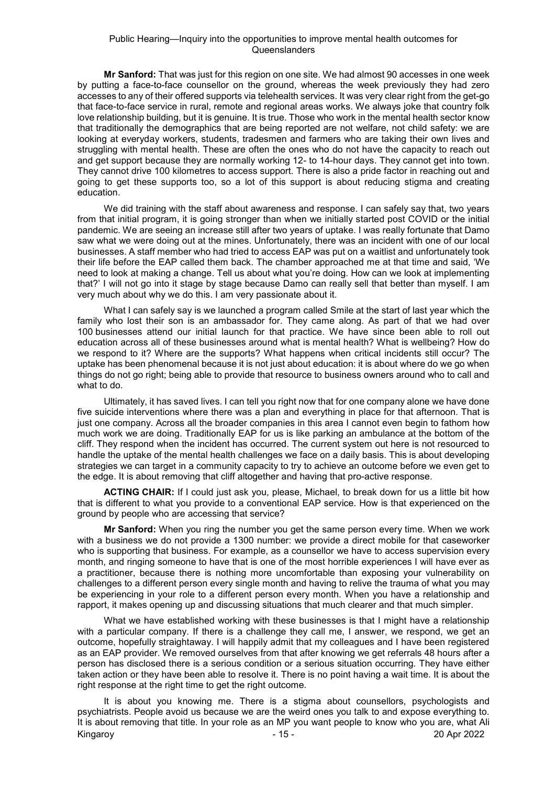**Mr Sanford:** That was just for this region on one site. We had almost 90 accesses in one week by putting a face-to-face counsellor on the ground, whereas the week previously they had zero accesses to any of their offered supports via telehealth services. It was very clear right from the get-go that face-to-face service in rural, remote and regional areas works. We always joke that country folk love relationship building, but it is genuine. It is true. Those who work in the mental health sector know that traditionally the demographics that are being reported are not welfare, not child safety: we are looking at everyday workers, students, tradesmen and farmers who are taking their own lives and struggling with mental health. These are often the ones who do not have the capacity to reach out and get support because they are normally working 12- to 14-hour days. They cannot get into town. They cannot drive 100 kilometres to access support. There is also a pride factor in reaching out and going to get these supports too, so a lot of this support is about reducing stigma and creating education.

We did training with the staff about awareness and response. I can safely say that, two years from that initial program, it is going stronger than when we initially started post COVID or the initial pandemic. We are seeing an increase still after two years of uptake. I was really fortunate that Damo saw what we were doing out at the mines. Unfortunately, there was an incident with one of our local businesses. A staff member who had tried to access EAP was put on a waitlist and unfortunately took their life before the EAP called them back. The chamber approached me at that time and said, 'We need to look at making a change. Tell us about what you're doing. How can we look at implementing that?' I will not go into it stage by stage because Damo can really sell that better than myself. I am very much about why we do this. I am very passionate about it.

What I can safely say is we launched a program called Smile at the start of last year which the family who lost their son is an ambassador for. They came along. As part of that we had over 100 businesses attend our initial launch for that practice. We have since been able to roll out education across all of these businesses around what is mental health? What is wellbeing? How do we respond to it? Where are the supports? What happens when critical incidents still occur? The uptake has been phenomenal because it is not just about education: it is about where do we go when things do not go right; being able to provide that resource to business owners around who to call and what to do.

Ultimately, it has saved lives. I can tell you right now that for one company alone we have done five suicide interventions where there was a plan and everything in place for that afternoon. That is just one company. Across all the broader companies in this area I cannot even begin to fathom how much work we are doing. Traditionally EAP for us is like parking an ambulance at the bottom of the cliff. They respond when the incident has occurred. The current system out here is not resourced to handle the uptake of the mental health challenges we face on a daily basis. This is about developing strategies we can target in a community capacity to try to achieve an outcome before we even get to the edge. It is about removing that cliff altogether and having that pro-active response.

**ACTING CHAIR:** If I could just ask you, please, Michael, to break down for us a little bit how that is different to what you provide to a conventional EAP service. How is that experienced on the ground by people who are accessing that service?

**Mr Sanford:** When you ring the number you get the same person every time. When we work with a business we do not provide a 1300 number: we provide a direct mobile for that caseworker who is supporting that business. For example, as a counsellor we have to access supervision every month, and ringing someone to have that is one of the most horrible experiences I will have ever as a practitioner, because there is nothing more uncomfortable than exposing your vulnerability on challenges to a different person every single month and having to relive the trauma of what you may be experiencing in your role to a different person every month. When you have a relationship and rapport, it makes opening up and discussing situations that much clearer and that much simpler.

What we have established working with these businesses is that I might have a relationship with a particular company. If there is a challenge they call me, I answer, we respond, we get an outcome, hopefully straightaway. I will happily admit that my colleagues and I have been registered as an EAP provider. We removed ourselves from that after knowing we get referrals 48 hours after a person has disclosed there is a serious condition or a serious situation occurring. They have either taken action or they have been able to resolve it. There is no point having a wait time. It is about the right response at the right time to get the right outcome.

Kingaroy - 15 - 20 Apr 2022 It is about you knowing me. There is a stigma about counsellors, psychologists and psychiatrists. People avoid us because we are the weird ones you talk to and expose everything to. It is about removing that title. In your role as an MP you want people to know who you are, what Ali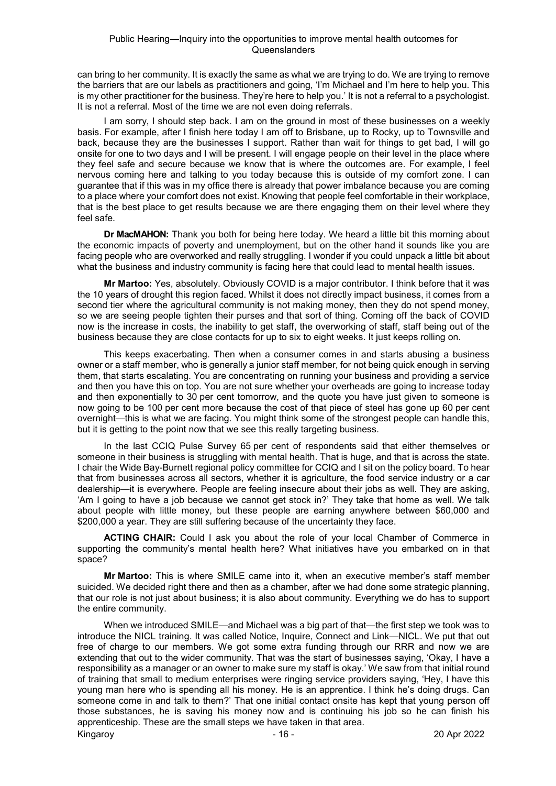can bring to her community. It is exactly the same as what we are trying to do. We are trying to remove the barriers that are our labels as practitioners and going, 'I'm Michael and I'm here to help you. This is my other practitioner for the business. They're here to help you.' It is not a referral to a psychologist. It is not a referral. Most of the time we are not even doing referrals.

I am sorry, I should step back. I am on the ground in most of these businesses on a weekly basis. For example, after I finish here today I am off to Brisbane, up to Rocky, up to Townsville and back, because they are the businesses I support. Rather than wait for things to get bad, I will go onsite for one to two days and I will be present. I will engage people on their level in the place where they feel safe and secure because we know that is where the outcomes are. For example, I feel nervous coming here and talking to you today because this is outside of my comfort zone. I can guarantee that if this was in my office there is already that power imbalance because you are coming to a place where your comfort does not exist. Knowing that people feel comfortable in their workplace, that is the best place to get results because we are there engaging them on their level where they feel safe.

**Dr MacMAHON:** Thank you both for being here today. We heard a little bit this morning about the economic impacts of poverty and unemployment, but on the other hand it sounds like you are facing people who are overworked and really struggling. I wonder if you could unpack a little bit about what the business and industry community is facing here that could lead to mental health issues.

**Mr Martoo:** Yes, absolutely. Obviously COVID is a major contributor. I think before that it was the 10 years of drought this region faced. Whilst it does not directly impact business, it comes from a second tier where the agricultural community is not making money, then they do not spend money, so we are seeing people tighten their purses and that sort of thing. Coming off the back of COVID now is the increase in costs, the inability to get staff, the overworking of staff, staff being out of the business because they are close contacts for up to six to eight weeks. It just keeps rolling on.

This keeps exacerbating. Then when a consumer comes in and starts abusing a business owner or a staff member, who is generally a junior staff member, for not being quick enough in serving them, that starts escalating. You are concentrating on running your business and providing a service and then you have this on top. You are not sure whether your overheads are going to increase today and then exponentially to 30 per cent tomorrow, and the quote you have just given to someone is now going to be 100 per cent more because the cost of that piece of steel has gone up 60 per cent overnight—this is what we are facing. You might think some of the strongest people can handle this, but it is getting to the point now that we see this really targeting business.

In the last CCIQ Pulse Survey 65 per cent of respondents said that either themselves or someone in their business is struggling with mental health. That is huge, and that is across the state. I chair the Wide Bay-Burnett regional policy committee for CCIQ and I sit on the policy board. To hear that from businesses across all sectors, whether it is agriculture, the food service industry or a car dealership—it is everywhere. People are feeling insecure about their jobs as well. They are asking, 'Am I going to have a job because we cannot get stock in?' They take that home as well. We talk about people with little money, but these people are earning anywhere between \$60,000 and \$200,000 a year. They are still suffering because of the uncertainty they face.

**ACTING CHAIR:** Could I ask you about the role of your local Chamber of Commerce in supporting the community's mental health here? What initiatives have you embarked on in that space?

**Mr Martoo:** This is where SMILE came into it, when an executive member's staff member suicided. We decided right there and then as a chamber, after we had done some strategic planning, that our role is not just about business; it is also about community. Everything we do has to support the entire community.

Kingaroy 20 Apr 2022 When we introduced SMILE—and Michael was a big part of that—the first step we took was to introduce the NICL training. It was called Notice, Inquire, Connect and Link—NICL. We put that out free of charge to our members. We got some extra funding through our RRR and now we are extending that out to the wider community. That was the start of businesses saying, 'Okay, I have a responsibility as a manager or an owner to make sure my staff is okay.' We saw from that initial round of training that small to medium enterprises were ringing service providers saying, 'Hey, I have this young man here who is spending all his money. He is an apprentice. I think he's doing drugs. Can someone come in and talk to them?' That one initial contact onsite has kept that young person off those substances, he is saving his money now and is continuing his job so he can finish his apprenticeship. These are the small steps we have taken in that area.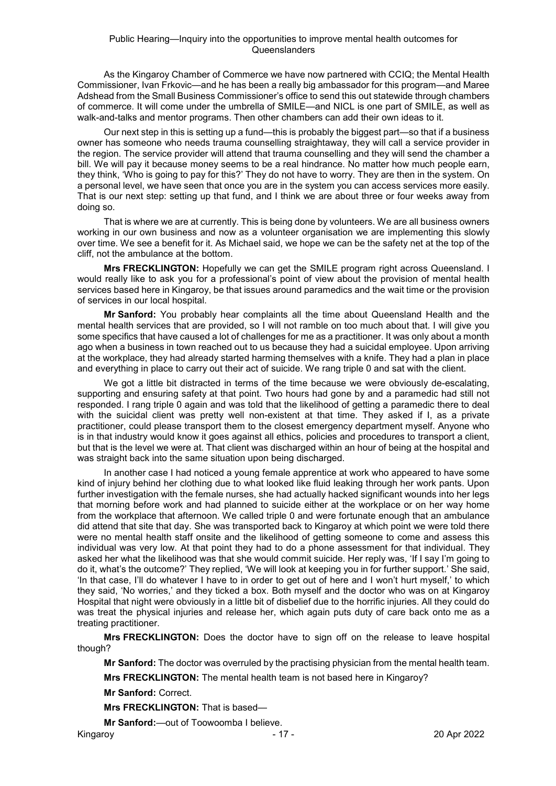As the Kingaroy Chamber of Commerce we have now partnered with CCIQ; the Mental Health Commissioner, Ivan Frkovic—and he has been a really big ambassador for this program—and Maree Adshead from the Small Business Commissioner's office to send this out statewide through chambers of commerce. It will come under the umbrella of SMILE—and NICL is one part of SMILE, as well as walk-and-talks and mentor programs. Then other chambers can add their own ideas to it.

Our next step in this is setting up a fund—this is probably the biggest part—so that if a business owner has someone who needs trauma counselling straightaway, they will call a service provider in the region. The service provider will attend that trauma counselling and they will send the chamber a bill. We will pay it because money seems to be a real hindrance. No matter how much people earn, they think, 'Who is going to pay for this?' They do not have to worry. They are then in the system. On a personal level, we have seen that once you are in the system you can access services more easily. That is our next step: setting up that fund, and I think we are about three or four weeks away from doing so.

That is where we are at currently. This is being done by volunteers. We are all business owners working in our own business and now as a volunteer organisation we are implementing this slowly over time. We see a benefit for it. As Michael said, we hope we can be the safety net at the top of the cliff, not the ambulance at the bottom.

**Mrs FRECKLINGTON:** Hopefully we can get the SMILE program right across Queensland. I would really like to ask you for a professional's point of view about the provision of mental health services based here in Kingaroy, be that issues around paramedics and the wait time or the provision of services in our local hospital.

**Mr Sanford:** You probably hear complaints all the time about Queensland Health and the mental health services that are provided, so I will not ramble on too much about that. I will give you some specifics that have caused a lot of challenges for me as a practitioner. It was only about a month ago when a business in town reached out to us because they had a suicidal employee. Upon arriving at the workplace, they had already started harming themselves with a knife. They had a plan in place and everything in place to carry out their act of suicide. We rang triple 0 and sat with the client.

We got a little bit distracted in terms of the time because we were obviously de-escalating, supporting and ensuring safety at that point. Two hours had gone by and a paramedic had still not responded. I rang triple 0 again and was told that the likelihood of getting a paramedic there to deal with the suicidal client was pretty well non-existent at that time. They asked if I, as a private practitioner, could please transport them to the closest emergency department myself. Anyone who is in that industry would know it goes against all ethics, policies and procedures to transport a client, but that is the level we were at. That client was discharged within an hour of being at the hospital and was straight back into the same situation upon being discharged.

In another case I had noticed a young female apprentice at work who appeared to have some kind of injury behind her clothing due to what looked like fluid leaking through her work pants. Upon further investigation with the female nurses, she had actually hacked significant wounds into her legs that morning before work and had planned to suicide either at the workplace or on her way home from the workplace that afternoon. We called triple 0 and were fortunate enough that an ambulance did attend that site that day. She was transported back to Kingaroy at which point we were told there were no mental health staff onsite and the likelihood of getting someone to come and assess this individual was very low. At that point they had to do a phone assessment for that individual. They asked her what the likelihood was that she would commit suicide. Her reply was, 'If I say I'm going to do it, what's the outcome?' They replied, 'We will look at keeping you in for further support.' She said, 'In that case, I'll do whatever I have to in order to get out of here and I won't hurt myself,' to which they said, 'No worries,' and they ticked a box. Both myself and the doctor who was on at Kingaroy Hospital that night were obviously in a little bit of disbelief due to the horrific injuries. All they could do was treat the physical injuries and release her, which again puts duty of care back onto me as a treating practitioner.

**Mrs FRECKLINGTON:** Does the doctor have to sign off on the release to leave hospital though?

**Mr Sanford:** The doctor was overruled by the practising physician from the mental health team.

**Mrs FRECKLINGTON:** The mental health team is not based here in Kingaroy?

**Mr Sanford:** Correct.

**Mrs FRECKLINGTON:** That is based—

**Mr Sanford:**—out of Toowoomba I believe.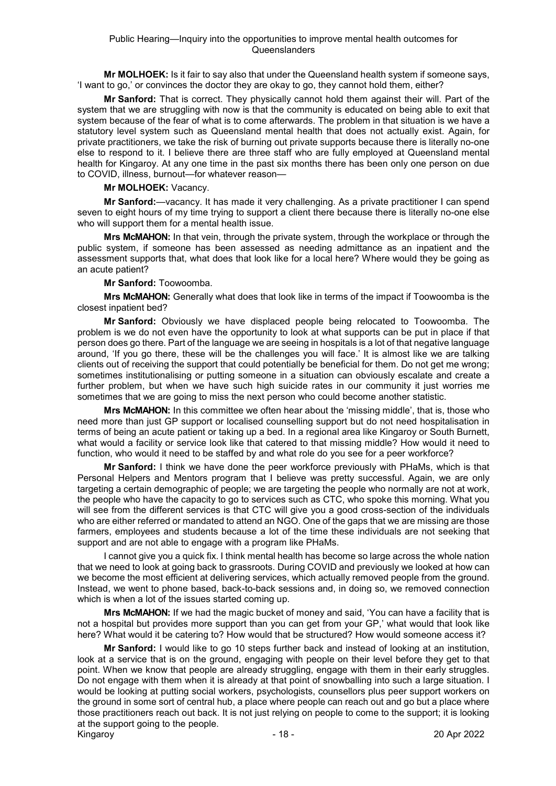**Mr MOLHOEK:** Is it fair to say also that under the Queensland health system if someone says, 'I want to go,' or convinces the doctor they are okay to go, they cannot hold them, either?

**Mr Sanford:** That is correct. They physically cannot hold them against their will. Part of the system that we are struggling with now is that the community is educated on being able to exit that system because of the fear of what is to come afterwards. The problem in that situation is we have a statutory level system such as Queensland mental health that does not actually exist. Again, for private practitioners, we take the risk of burning out private supports because there is literally no-one else to respond to it. I believe there are three staff who are fully employed at Queensland mental health for Kingaroy. At any one time in the past six months there has been only one person on due to COVID, illness, burnout—for whatever reason—

# **Mr MOLHOEK:** Vacancy.

**Mr Sanford:**—vacancy. It has made it very challenging. As a private practitioner I can spend seven to eight hours of my time trying to support a client there because there is literally no-one else who will support them for a mental health issue.

**Mrs McMAHON:** In that vein, through the private system, through the workplace or through the public system, if someone has been assessed as needing admittance as an inpatient and the assessment supports that, what does that look like for a local here? Where would they be going as an acute patient?

# **Mr Sanford:** Toowoomba.

**Mrs McMAHON:** Generally what does that look like in terms of the impact if Toowoomba is the closest inpatient bed?

**Mr Sanford:** Obviously we have displaced people being relocated to Toowoomba. The problem is we do not even have the opportunity to look at what supports can be put in place if that person does go there. Part of the language we are seeing in hospitals is a lot of that negative language around, 'If you go there, these will be the challenges you will face.' It is almost like we are talking clients out of receiving the support that could potentially be beneficial for them. Do not get me wrong; sometimes institutionalising or putting someone in a situation can obviously escalate and create a further problem, but when we have such high suicide rates in our community it just worries me sometimes that we are going to miss the next person who could become another statistic.

**Mrs McMAHON:** In this committee we often hear about the 'missing middle', that is, those who need more than just GP support or localised counselling support but do not need hospitalisation in terms of being an acute patient or taking up a bed. In a regional area like Kingaroy or South Burnett, what would a facility or service look like that catered to that missing middle? How would it need to function, who would it need to be staffed by and what role do you see for a peer workforce?

**Mr Sanford:** I think we have done the peer workforce previously with PHaMs, which is that Personal Helpers and Mentors program that I believe was pretty successful. Again, we are only targeting a certain demographic of people; we are targeting the people who normally are not at work, the people who have the capacity to go to services such as CTC, who spoke this morning. What you will see from the different services is that CTC will give you a good cross-section of the individuals who are either referred or mandated to attend an NGO. One of the gaps that we are missing are those farmers, employees and students because a lot of the time these individuals are not seeking that support and are not able to engage with a program like PHaMs.

I cannot give you a quick fix. I think mental health has become so large across the whole nation that we need to look at going back to grassroots. During COVID and previously we looked at how can we become the most efficient at delivering services, which actually removed people from the ground. Instead, we went to phone based, back-to-back sessions and, in doing so, we removed connection which is when a lot of the issues started coming up.

**Mrs McMAHON:** If we had the magic bucket of money and said, 'You can have a facility that is not a hospital but provides more support than you can get from your GP,' what would that look like here? What would it be catering to? How would that be structured? How would someone access it?

Kingaroy 20 Apr 2022 **Mr Sanford:** I would like to go 10 steps further back and instead of looking at an institution, look at a service that is on the ground, engaging with people on their level before they get to that point. When we know that people are already struggling, engage with them in their early struggles. Do not engage with them when it is already at that point of snowballing into such a large situation. I would be looking at putting social workers, psychologists, counsellors plus peer support workers on the ground in some sort of central hub, a place where people can reach out and go but a place where those practitioners reach out back. It is not just relying on people to come to the support; it is looking at the support going to the people.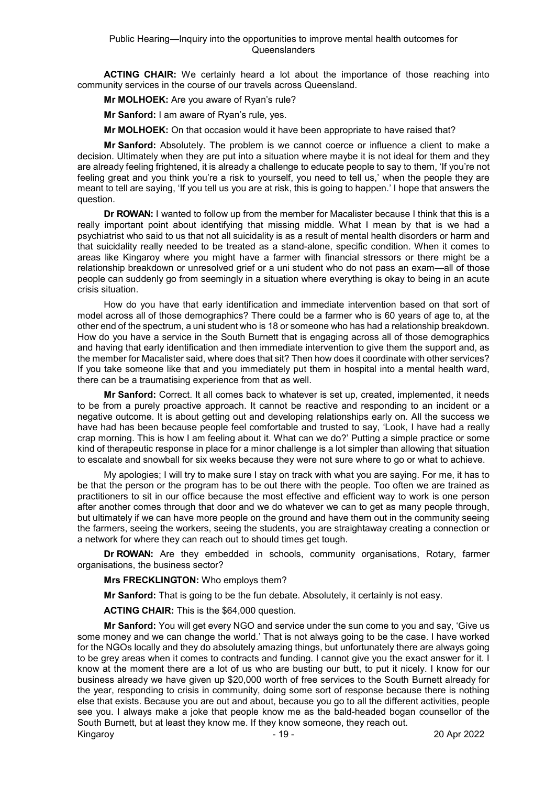**ACTING CHAIR:** We certainly heard a lot about the importance of those reaching into community services in the course of our travels across Queensland.

**Mr MOLHOEK:** Are you aware of Ryan's rule?

**Mr Sanford:** I am aware of Ryan's rule, yes.

**Mr MOLHOEK:** On that occasion would it have been appropriate to have raised that?

**Mr Sanford:** Absolutely. The problem is we cannot coerce or influence a client to make a decision. Ultimately when they are put into a situation where maybe it is not ideal for them and they are already feeling frightened, it is already a challenge to educate people to say to them, 'If you're not feeling great and you think you're a risk to yourself, you need to tell us,' when the people they are meant to tell are saying, 'If you tell us you are at risk, this is going to happen.' I hope that answers the question.

**Dr ROWAN:** I wanted to follow up from the member for Macalister because I think that this is a really important point about identifying that missing middle. What I mean by that is we had a psychiatrist who said to us that not all suicidality is as a result of mental health disorders or harm and that suicidality really needed to be treated as a stand-alone, specific condition. When it comes to areas like Kingaroy where you might have a farmer with financial stressors or there might be a relationship breakdown or unresolved grief or a uni student who do not pass an exam—all of those people can suddenly go from seemingly in a situation where everything is okay to being in an acute crisis situation.

How do you have that early identification and immediate intervention based on that sort of model across all of those demographics? There could be a farmer who is 60 years of age to, at the other end of the spectrum, a uni student who is 18 or someone who has had a relationship breakdown. How do you have a service in the South Burnett that is engaging across all of those demographics and having that early identification and then immediate intervention to give them the support and, as the member for Macalister said, where does that sit? Then how does it coordinate with other services? If you take someone like that and you immediately put them in hospital into a mental health ward, there can be a traumatising experience from that as well.

**Mr Sanford:** Correct. It all comes back to whatever is set up, created, implemented, it needs to be from a purely proactive approach. It cannot be reactive and responding to an incident or a negative outcome. It is about getting out and developing relationships early on. All the success we have had has been because people feel comfortable and trusted to say, 'Look, I have had a really crap morning. This is how I am feeling about it. What can we do?' Putting a simple practice or some kind of therapeutic response in place for a minor challenge is a lot simpler than allowing that situation to escalate and snowball for six weeks because they were not sure where to go or what to achieve.

My apologies; I will try to make sure I stay on track with what you are saying. For me, it has to be that the person or the program has to be out there with the people. Too often we are trained as practitioners to sit in our office because the most effective and efficient way to work is one person after another comes through that door and we do whatever we can to get as many people through, but ultimately if we can have more people on the ground and have them out in the community seeing the farmers, seeing the workers, seeing the students, you are straightaway creating a connection or a network for where they can reach out to should times get tough.

**Dr ROWAN:** Are they embedded in schools, community organisations, Rotary, farmer organisations, the business sector?

**Mrs FRECKLINGTON:** Who employs them?

**Mr Sanford:** That is going to be the fun debate. Absolutely, it certainly is not easy.

**ACTING CHAIR:** This is the \$64,000 question.

Kingaroy 20 Apr 2022 **Mr Sanford:** You will get every NGO and service under the sun come to you and say, 'Give us some money and we can change the world.' That is not always going to be the case. I have worked for the NGOs locally and they do absolutely amazing things, but unfortunately there are always going to be grey areas when it comes to contracts and funding. I cannot give you the exact answer for it. I know at the moment there are a lot of us who are busting our butt, to put it nicely. I know for our business already we have given up \$20,000 worth of free services to the South Burnett already for the year, responding to crisis in community, doing some sort of response because there is nothing else that exists. Because you are out and about, because you go to all the different activities, people see you. I always make a joke that people know me as the bald-headed bogan counsellor of the South Burnett, but at least they know me. If they know someone, they reach out.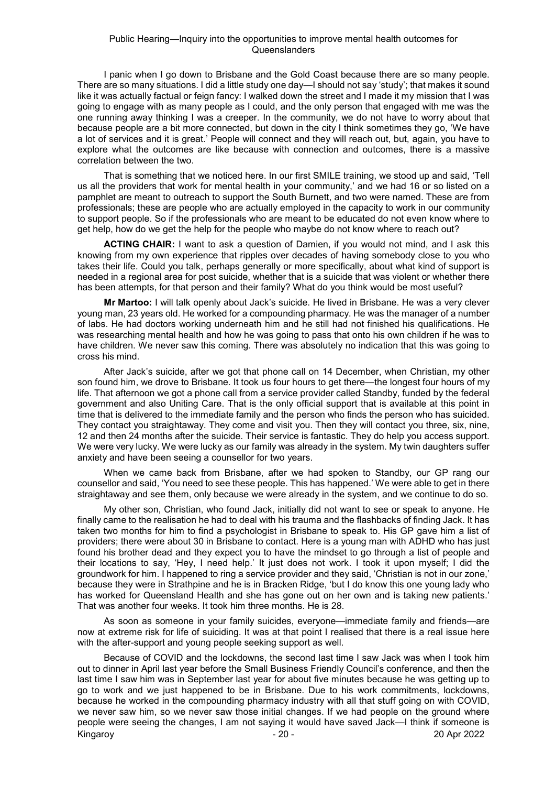I panic when I go down to Brisbane and the Gold Coast because there are so many people. There are so many situations. I did a little study one day—I should not say 'study'; that makes it sound like it was actually factual or feign fancy: I walked down the street and I made it my mission that I was going to engage with as many people as I could, and the only person that engaged with me was the one running away thinking I was a creeper. In the community, we do not have to worry about that because people are a bit more connected, but down in the city I think sometimes they go, 'We have a lot of services and it is great.' People will connect and they will reach out, but, again, you have to explore what the outcomes are like because with connection and outcomes, there is a massive correlation between the two.

That is something that we noticed here. In our first SMILE training, we stood up and said, 'Tell us all the providers that work for mental health in your community,' and we had 16 or so listed on a pamphlet are meant to outreach to support the South Burnett, and two were named. These are from professionals; these are people who are actually employed in the capacity to work in our community to support people. So if the professionals who are meant to be educated do not even know where to get help, how do we get the help for the people who maybe do not know where to reach out?

**ACTING CHAIR:** I want to ask a question of Damien, if you would not mind, and I ask this knowing from my own experience that ripples over decades of having somebody close to you who takes their life. Could you talk, perhaps generally or more specifically, about what kind of support is needed in a regional area for post suicide, whether that is a suicide that was violent or whether there has been attempts, for that person and their family? What do you think would be most useful?

**Mr Martoo:** I will talk openly about Jack's suicide. He lived in Brisbane. He was a very clever young man, 23 years old. He worked for a compounding pharmacy. He was the manager of a number of labs. He had doctors working underneath him and he still had not finished his qualifications. He was researching mental health and how he was going to pass that onto his own children if he was to have children. We never saw this coming. There was absolutely no indication that this was going to cross his mind.

After Jack's suicide, after we got that phone call on 14 December, when Christian, my other son found him, we drove to Brisbane. It took us four hours to get there—the longest four hours of my life. That afternoon we got a phone call from a service provider called Standby, funded by the federal government and also Uniting Care. That is the only official support that is available at this point in time that is delivered to the immediate family and the person who finds the person who has suicided. They contact you straightaway. They come and visit you. Then they will contact you three, six, nine, 12 and then 24 months after the suicide. Their service is fantastic. They do help you access support. We were very lucky. We were lucky as our family was already in the system. My twin daughters suffer anxiety and have been seeing a counsellor for two years.

When we came back from Brisbane, after we had spoken to Standby, our GP rang our counsellor and said, 'You need to see these people. This has happened.' We were able to get in there straightaway and see them, only because we were already in the system, and we continue to do so.

My other son, Christian, who found Jack, initially did not want to see or speak to anyone. He finally came to the realisation he had to deal with his trauma and the flashbacks of finding Jack. It has taken two months for him to find a psychologist in Brisbane to speak to. His GP gave him a list of providers; there were about 30 in Brisbane to contact. Here is a young man with ADHD who has just found his brother dead and they expect you to have the mindset to go through a list of people and their locations to say, 'Hey, I need help.' It just does not work. I took it upon myself; I did the groundwork for him. I happened to ring a service provider and they said, 'Christian is not in our zone,' because they were in Strathpine and he is in Bracken Ridge, 'but I do know this one young lady who has worked for Queensland Health and she has gone out on her own and is taking new patients.' That was another four weeks. It took him three months. He is 28.

As soon as someone in your family suicides, everyone—immediate family and friends—are now at extreme risk for life of suiciding. It was at that point I realised that there is a real issue here with the after-support and young people seeking support as well.

Kingaroy - 20 - 20 Apr 2022 Because of COVID and the lockdowns, the second last time I saw Jack was when I took him out to dinner in April last year before the Small Business Friendly Council's conference, and then the last time I saw him was in September last year for about five minutes because he was getting up to go to work and we just happened to be in Brisbane. Due to his work commitments, lockdowns, because he worked in the compounding pharmacy industry with all that stuff going on with COVID, we never saw him, so we never saw those initial changes. If we had people on the ground where people were seeing the changes, I am not saying it would have saved Jack—I think if someone is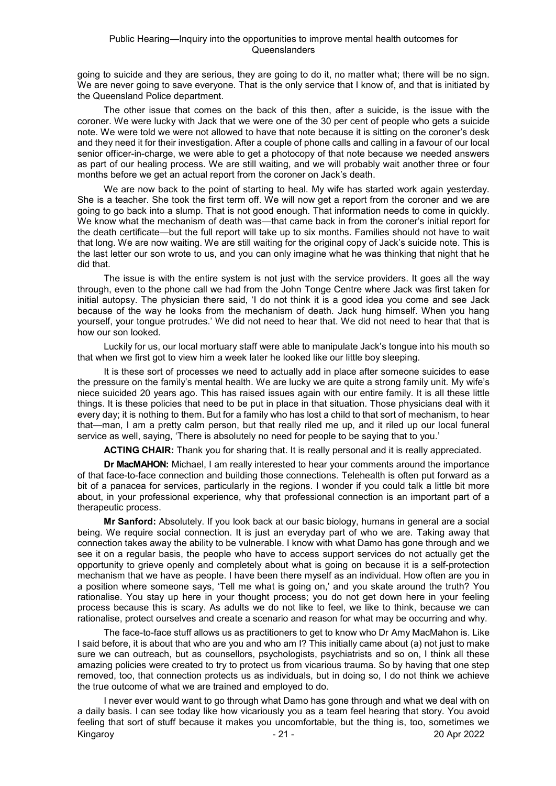going to suicide and they are serious, they are going to do it, no matter what; there will be no sign. We are never going to save everyone. That is the only service that I know of, and that is initiated by the Queensland Police department.

The other issue that comes on the back of this then, after a suicide, is the issue with the coroner. We were lucky with Jack that we were one of the 30 per cent of people who gets a suicide note. We were told we were not allowed to have that note because it is sitting on the coroner's desk and they need it for their investigation. After a couple of phone calls and calling in a favour of our local senior officer-in-charge, we were able to get a photocopy of that note because we needed answers as part of our healing process. We are still waiting, and we will probably wait another three or four months before we get an actual report from the coroner on Jack's death.

We are now back to the point of starting to heal. My wife has started work again yesterday. She is a teacher. She took the first term off. We will now get a report from the coroner and we are going to go back into a slump. That is not good enough. That information needs to come in quickly. We know what the mechanism of death was—that came back in from the coroner's initial report for the death certificate—but the full report will take up to six months. Families should not have to wait that long. We are now waiting. We are still waiting for the original copy of Jack's suicide note. This is the last letter our son wrote to us, and you can only imagine what he was thinking that night that he did that.

The issue is with the entire system is not just with the service providers. It goes all the way through, even to the phone call we had from the John Tonge Centre where Jack was first taken for initial autopsy. The physician there said, 'I do not think it is a good idea you come and see Jack because of the way he looks from the mechanism of death. Jack hung himself. When you hang yourself, your tongue protrudes.' We did not need to hear that. We did not need to hear that that is how our son looked.

Luckily for us, our local mortuary staff were able to manipulate Jack's tongue into his mouth so that when we first got to view him a week later he looked like our little boy sleeping.

It is these sort of processes we need to actually add in place after someone suicides to ease the pressure on the family's mental health. We are lucky we are quite a strong family unit. My wife's niece suicided 20 years ago. This has raised issues again with our entire family. It is all these little things. It is these policies that need to be put in place in that situation. Those physicians deal with it every day; it is nothing to them. But for a family who has lost a child to that sort of mechanism, to hear that—man, I am a pretty calm person, but that really riled me up, and it riled up our local funeral service as well, saying, 'There is absolutely no need for people to be saying that to you.'

**ACTING CHAIR:** Thank you for sharing that. It is really personal and it is really appreciated.

**Dr MacMAHON:** Michael, I am really interested to hear your comments around the importance of that face-to-face connection and building those connections. Telehealth is often put forward as a bit of a panacea for services, particularly in the regions. I wonder if you could talk a little bit more about, in your professional experience, why that professional connection is an important part of a therapeutic process.

**Mr Sanford:** Absolutely. If you look back at our basic biology, humans in general are a social being. We require social connection. It is just an everyday part of who we are. Taking away that connection takes away the ability to be vulnerable. I know with what Damo has gone through and we see it on a regular basis, the people who have to access support services do not actually get the opportunity to grieve openly and completely about what is going on because it is a self-protection mechanism that we have as people. I have been there myself as an individual. How often are you in a position where someone says, 'Tell me what is going on,' and you skate around the truth? You rationalise. You stay up here in your thought process; you do not get down here in your feeling process because this is scary. As adults we do not like to feel, we like to think, because we can rationalise, protect ourselves and create a scenario and reason for what may be occurring and why.

The face-to-face stuff allows us as practitioners to get to know who Dr Amy MacMahon is. Like I said before, it is about that who are you and who am I? This initially came about (a) not just to make sure we can outreach, but as counsellors, psychologists, psychiatrists and so on, I think all these amazing policies were created to try to protect us from vicarious trauma. So by having that one step removed, too, that connection protects us as individuals, but in doing so, I do not think we achieve the true outcome of what we are trained and employed to do.

Kingaroy 2022 - 21 - 21 - 2022 I never ever would want to go through what Damo has gone through and what we deal with on a daily basis. I can see today like how vicariously you as a team feel hearing that story. You avoid feeling that sort of stuff because it makes you uncomfortable, but the thing is, too, sometimes we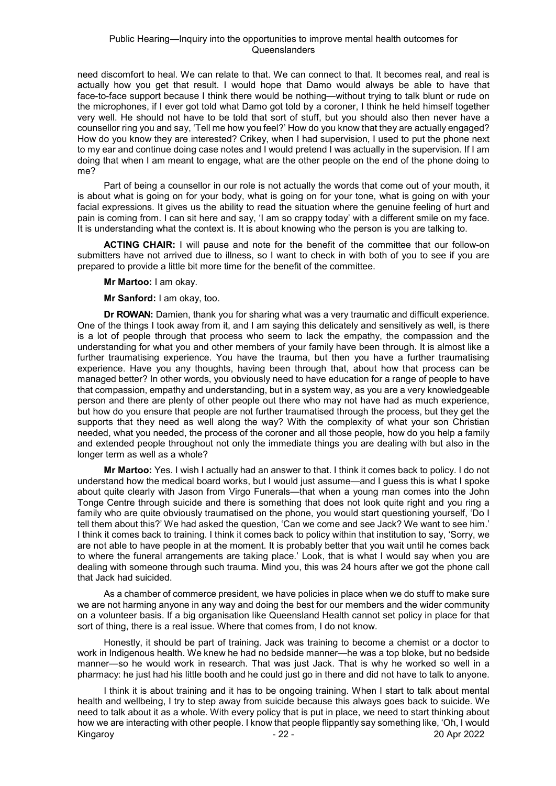need discomfort to heal. We can relate to that. We can connect to that. It becomes real, and real is actually how you get that result. I would hope that Damo would always be able to have that face-to-face support because I think there would be nothing—without trying to talk blunt or rude on the microphones, if I ever got told what Damo got told by a coroner, I think he held himself together very well. He should not have to be told that sort of stuff, but you should also then never have a counsellor ring you and say, 'Tell me how you feel?' How do you know that they are actually engaged? How do you know they are interested? Crikey, when I had supervision, I used to put the phone next to my ear and continue doing case notes and I would pretend I was actually in the supervision. If I am doing that when I am meant to engage, what are the other people on the end of the phone doing to me?

Part of being a counsellor in our role is not actually the words that come out of your mouth, it is about what is going on for your body, what is going on for your tone, what is going on with your facial expressions. It gives us the ability to read the situation where the genuine feeling of hurt and pain is coming from. I can sit here and say, 'I am so crappy today' with a different smile on my face. It is understanding what the context is. It is about knowing who the person is you are talking to.

**ACTING CHAIR:** I will pause and note for the benefit of the committee that our follow-on submitters have not arrived due to illness, so I want to check in with both of you to see if you are prepared to provide a little bit more time for the benefit of the committee.

**Mr Martoo:** I am okay.

**Mr Sanford:** I am okay, too.

**Dr ROWAN:** Damien, thank you for sharing what was a very traumatic and difficult experience. One of the things I took away from it, and I am saying this delicately and sensitively as well, is there is a lot of people through that process who seem to lack the empathy, the compassion and the understanding for what you and other members of your family have been through. It is almost like a further traumatising experience. You have the trauma, but then you have a further traumatising experience. Have you any thoughts, having been through that, about how that process can be managed better? In other words, you obviously need to have education for a range of people to have that compassion, empathy and understanding, but in a system way, as you are a very knowledgeable person and there are plenty of other people out there who may not have had as much experience, but how do you ensure that people are not further traumatised through the process, but they get the supports that they need as well along the way? With the complexity of what your son Christian needed, what you needed, the process of the coroner and all those people, how do you help a family and extended people throughout not only the immediate things you are dealing with but also in the longer term as well as a whole?

**Mr Martoo:** Yes. I wish I actually had an answer to that. I think it comes back to policy. I do not understand how the medical board works, but I would just assume—and I guess this is what I spoke about quite clearly with Jason from Virgo Funerals—that when a young man comes into the John Tonge Centre through suicide and there is something that does not look quite right and you ring a family who are quite obviously traumatised on the phone, you would start questioning yourself, 'Do I tell them about this?' We had asked the question, 'Can we come and see Jack? We want to see him.' I think it comes back to training. I think it comes back to policy within that institution to say, 'Sorry, we are not able to have people in at the moment. It is probably better that you wait until he comes back to where the funeral arrangements are taking place.' Look, that is what I would say when you are dealing with someone through such trauma. Mind you, this was 24 hours after we got the phone call that Jack had suicided.

As a chamber of commerce president, we have policies in place when we do stuff to make sure we are not harming anyone in any way and doing the best for our members and the wider community on a volunteer basis. If a big organisation like Queensland Health cannot set policy in place for that sort of thing, there is a real issue. Where that comes from, I do not know.

Honestly, it should be part of training. Jack was training to become a chemist or a doctor to work in Indigenous health. We knew he had no bedside manner—he was a top bloke, but no bedside manner—so he would work in research. That was just Jack. That is why he worked so well in a pharmacy: he just had his little booth and he could just go in there and did not have to talk to anyone.

Kingaroy - 22 - 20 Apr 2022 I think it is about training and it has to be ongoing training. When I start to talk about mental health and wellbeing, I try to step away from suicide because this always goes back to suicide. We need to talk about it as a whole. With every policy that is put in place, we need to start thinking about how we are interacting with other people. I know that people flippantly say something like, 'Oh, I would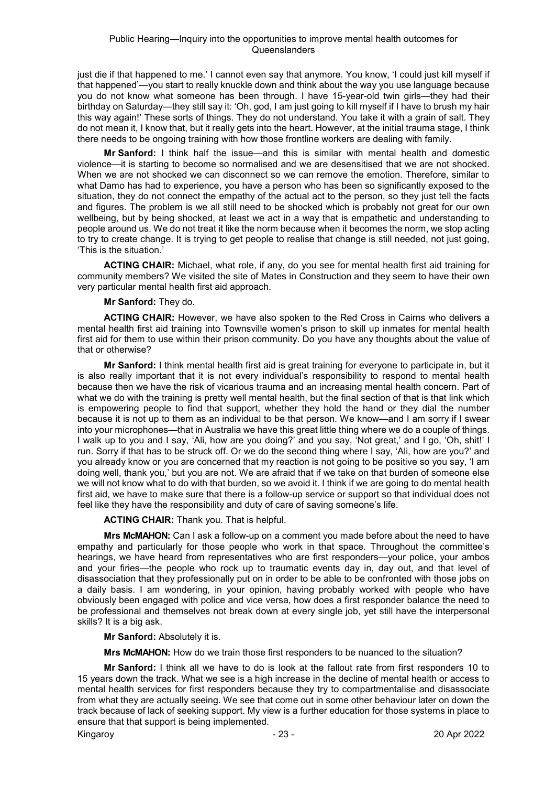just die if that happened to me.' I cannot even say that anymore. You know, 'I could just kill myself if that happened'—you start to really knuckle down and think about the way you use language because you do not know what someone has been through. I have 15-year-old twin girls—they had their birthday on Saturday—they still say it: 'Oh, god, I am just going to kill myself if I have to brush my hair this way again!' These sorts of things. They do not understand. You take it with a grain of salt. They do not mean it, I know that, but it really gets into the heart. However, at the initial trauma stage, I think there needs to be ongoing training with how those frontline workers are dealing with family.

**Mr Sanford:** I think half the issue—and this is similar with mental health and domestic violence—it is starting to become so normalised and we are desensitised that we are not shocked. When we are not shocked we can disconnect so we can remove the emotion. Therefore, similar to what Damo has had to experience, you have a person who has been so significantly exposed to the situation, they do not connect the empathy of the actual act to the person, so they just tell the facts and figures. The problem is we all still need to be shocked which is probably not great for our own wellbeing, but by being shocked, at least we act in a way that is empathetic and understanding to people around us. We do not treat it like the norm because when it becomes the norm, we stop acting to try to create change. It is trying to get people to realise that change is still needed, not just going, 'This is the situation.'

**ACTING CHAIR:** Michael, what role, if any, do you see for mental health first aid training for community members? We visited the site of Mates in Construction and they seem to have their own very particular mental health first aid approach.

# **Mr Sanford:** They do.

**ACTING CHAIR:** However, we have also spoken to the Red Cross in Cairns who delivers a mental health first aid training into Townsville women's prison to skill up inmates for mental health first aid for them to use within their prison community. Do you have any thoughts about the value of that or otherwise?

**Mr Sanford:** I think mental health first aid is great training for everyone to participate in, but it is also really important that it is not every individual's responsibility to respond to mental health because then we have the risk of vicarious trauma and an increasing mental health concern. Part of what we do with the training is pretty well mental health, but the final section of that is that link which is empowering people to find that support, whether they hold the hand or they dial the number because it is not up to them as an individual to be that person. We know—and I am sorry if I swear into your microphones—that in Australia we have this great little thing where we do a couple of things. I walk up to you and I say, 'Ali, how are you doing?' and you say, 'Not great,' and I go, 'Oh, shit!' I run. Sorry if that has to be struck off. Or we do the second thing where I say, 'Ali, how are you?' and you already know or you are concerned that my reaction is not going to be positive so you say, 'I am doing well, thank you,' but you are not. We are afraid that if we take on that burden of someone else we will not know what to do with that burden, so we avoid it. I think if we are going to do mental health first aid, we have to make sure that there is a follow-up service or support so that individual does not feel like they have the responsibility and duty of care of saving someone's life.

**ACTING CHAIR:** Thank you. That is helpful.

**Mrs McMAHON:** Can I ask a follow-up on a comment you made before about the need to have empathy and particularly for those people who work in that space. Throughout the committee's hearings, we have heard from representatives who are first responders—your police, your ambos and your firies—the people who rock up to traumatic events day in, day out, and that level of disassociation that they professionally put on in order to be able to be confronted with those jobs on a daily basis. I am wondering, in your opinion, having probably worked with people who have obviously been engaged with police and vice versa, how does a first responder balance the need to be professional and themselves not break down at every single job, yet still have the interpersonal skills? It is a big ask.

**Mr Sanford:** Absolutely it is.

**Mrs McMAHON:** How do we train those first responders to be nuanced to the situation?

Kingaroy 20 Apr 2022 **Mr Sanford:** I think all we have to do is look at the fallout rate from first responders 10 to 15 years down the track. What we see is a high increase in the decline of mental health or access to mental health services for first responders because they try to compartmentalise and disassociate from what they are actually seeing. We see that come out in some other behaviour later on down the track because of lack of seeking support. My view is a further education for those systems in place to ensure that that support is being implemented.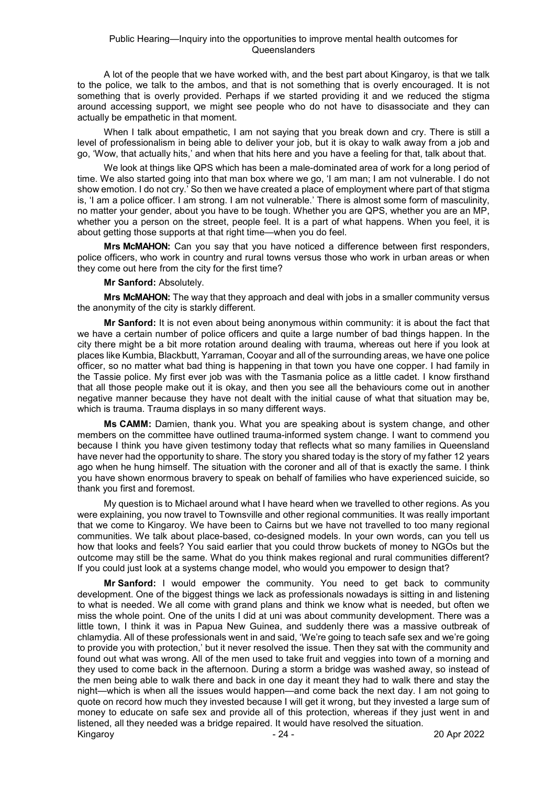A lot of the people that we have worked with, and the best part about Kingaroy, is that we talk to the police, we talk to the ambos, and that is not something that is overly encouraged. It is not something that is overly provided. Perhaps if we started providing it and we reduced the stigma around accessing support, we might see people who do not have to disassociate and they can actually be empathetic in that moment.

When I talk about empathetic, I am not saying that you break down and cry. There is still a level of professionalism in being able to deliver your job, but it is okay to walk away from a job and go, 'Wow, that actually hits,' and when that hits here and you have a feeling for that, talk about that.

We look at things like QPS which has been a male-dominated area of work for a long period of time. We also started going into that man box where we go, 'I am man; I am not vulnerable. I do not show emotion. I do not cry.' So then we have created a place of employment where part of that stigma is, 'I am a police officer. I am strong. I am not vulnerable.' There is almost some form of masculinity, no matter your gender, about you have to be tough. Whether you are QPS, whether you are an MP, whether you a person on the street, people feel. It is a part of what happens. When you feel, it is about getting those supports at that right time—when you do feel.

**Mrs McMAHON:** Can you say that you have noticed a difference between first responders, police officers, who work in country and rural towns versus those who work in urban areas or when they come out here from the city for the first time?

# **Mr Sanford:** Absolutely.

**Mrs McMAHON:** The way that they approach and deal with jobs in a smaller community versus the anonymity of the city is starkly different.

**Mr Sanford:** It is not even about being anonymous within community: it is about the fact that we have a certain number of police officers and quite a large number of bad things happen. In the city there might be a bit more rotation around dealing with trauma, whereas out here if you look at places like Kumbia, Blackbutt, Yarraman, Cooyar and all of the surrounding areas, we have one police officer, so no matter what bad thing is happening in that town you have one copper. I had family in the Tassie police. My first ever job was with the Tasmania police as a little cadet. I know firsthand that all those people make out it is okay, and then you see all the behaviours come out in another negative manner because they have not dealt with the initial cause of what that situation may be, which is trauma. Trauma displays in so many different ways.

**Ms CAMM:** Damien, thank you. What you are speaking about is system change, and other members on the committee have outlined trauma-informed system change. I want to commend you because I think you have given testimony today that reflects what so many families in Queensland have never had the opportunity to share. The story you shared today is the story of my father 12 years ago when he hung himself. The situation with the coroner and all of that is exactly the same. I think you have shown enormous bravery to speak on behalf of families who have experienced suicide, so thank you first and foremost.

My question is to Michael around what I have heard when we travelled to other regions. As you were explaining, you now travel to Townsville and other regional communities. It was really important that we come to Kingaroy. We have been to Cairns but we have not travelled to too many regional communities. We talk about place-based, co-designed models. In your own words, can you tell us how that looks and feels? You said earlier that you could throw buckets of money to NGOs but the outcome may still be the same. What do you think makes regional and rural communities different? If you could just look at a systems change model, who would you empower to design that?

Kingaroy 20 Apr 2022 **Mr Sanford:** I would empower the community. You need to get back to community development. One of the biggest things we lack as professionals nowadays is sitting in and listening to what is needed. We all come with grand plans and think we know what is needed, but often we miss the whole point. One of the units I did at uni was about community development. There was a little town, I think it was in Papua New Guinea, and suddenly there was a massive outbreak of chlamydia. All of these professionals went in and said, 'We're going to teach safe sex and we're going to provide you with protection,' but it never resolved the issue. Then they sat with the community and found out what was wrong. All of the men used to take fruit and veggies into town of a morning and they used to come back in the afternoon. During a storm a bridge was washed away, so instead of the men being able to walk there and back in one day it meant they had to walk there and stay the night—which is when all the issues would happen—and come back the next day. I am not going to quote on record how much they invested because I will get it wrong, but they invested a large sum of money to educate on safe sex and provide all of this protection, whereas if they just went in and listened, all they needed was a bridge repaired. It would have resolved the situation.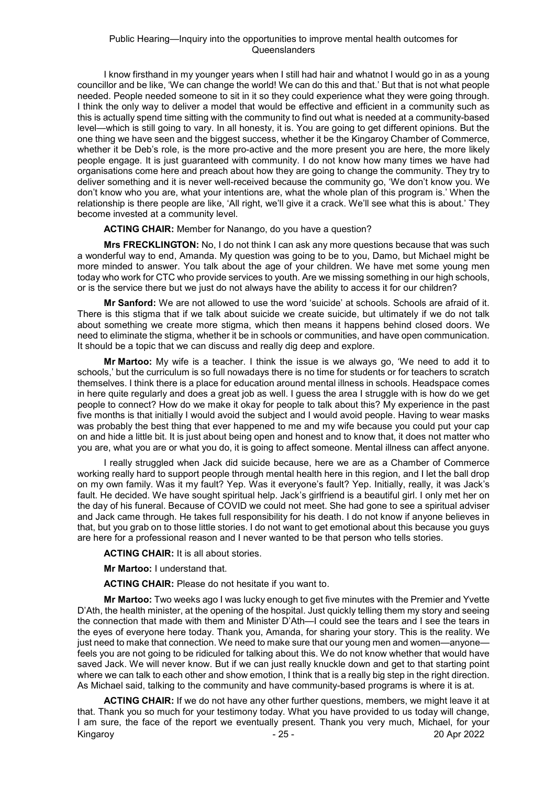I know firsthand in my younger years when I still had hair and whatnot I would go in as a young councillor and be like, 'We can change the world! We can do this and that.' But that is not what people needed. People needed someone to sit in it so they could experience what they were going through. I think the only way to deliver a model that would be effective and efficient in a community such as this is actually spend time sitting with the community to find out what is needed at a community-based level—which is still going to vary. In all honesty, it is. You are going to get different opinions. But the one thing we have seen and the biggest success, whether it be the Kingaroy Chamber of Commerce, whether it be Deb's role, is the more pro-active and the more present you are here, the more likely people engage. It is just guaranteed with community. I do not know how many times we have had organisations come here and preach about how they are going to change the community. They try to deliver something and it is never well-received because the community go, 'We don't know you. We don't know who you are, what your intentions are, what the whole plan of this program is.' When the relationship is there people are like, 'All right, we'll give it a crack. We'll see what this is about.' They become invested at a community level.

**ACTING CHAIR:** Member for Nanango, do you have a question?

**Mrs FRECKLINGTON:** No, I do not think I can ask any more questions because that was such a wonderful way to end, Amanda. My question was going to be to you, Damo, but Michael might be more minded to answer. You talk about the age of your children. We have met some young men today who work for CTC who provide services to youth. Are we missing something in our high schools, or is the service there but we just do not always have the ability to access it for our children?

**Mr Sanford:** We are not allowed to use the word 'suicide' at schools. Schools are afraid of it. There is this stigma that if we talk about suicide we create suicide, but ultimately if we do not talk about something we create more stigma, which then means it happens behind closed doors. We need to eliminate the stigma, whether it be in schools or communities, and have open communication. It should be a topic that we can discuss and really dig deep and explore.

**Mr Martoo:** My wife is a teacher. I think the issue is we always go, 'We need to add it to schools,' but the curriculum is so full nowadays there is no time for students or for teachers to scratch themselves. I think there is a place for education around mental illness in schools. Headspace comes in here quite regularly and does a great job as well. I guess the area I struggle with is how do we get people to connect? How do we make it okay for people to talk about this? My experience in the past five months is that initially I would avoid the subject and I would avoid people. Having to wear masks was probably the best thing that ever happened to me and my wife because you could put your cap on and hide a little bit. It is just about being open and honest and to know that, it does not matter who you are, what you are or what you do, it is going to affect someone. Mental illness can affect anyone.

I really struggled when Jack did suicide because, here we are as a Chamber of Commerce working really hard to support people through mental health here in this region, and I let the ball drop on my own family. Was it my fault? Yep. Was it everyone's fault? Yep. Initially, really, it was Jack's fault. He decided. We have sought spiritual help. Jack's girlfriend is a beautiful girl. I only met her on the day of his funeral. Because of COVID we could not meet. She had gone to see a spiritual adviser and Jack came through. He takes full responsibility for his death. I do not know if anyone believes in that, but you grab on to those little stories. I do not want to get emotional about this because you guys are here for a professional reason and I never wanted to be that person who tells stories.

**ACTING CHAIR:** It is all about stories.

**Mr Martoo:** I understand that.

**ACTING CHAIR:** Please do not hesitate if you want to.

**Mr Martoo:** Two weeks ago I was lucky enough to get five minutes with the Premier and Yvette D'Ath, the health minister, at the opening of the hospital. Just quickly telling them my story and seeing the connection that made with them and Minister D'Ath—I could see the tears and I see the tears in the eyes of everyone here today. Thank you, Amanda, for sharing your story. This is the reality. We just need to make that connection. We need to make sure that our young men and women—anyone feels you are not going to be ridiculed for talking about this. We do not know whether that would have saved Jack. We will never know. But if we can just really knuckle down and get to that starting point where we can talk to each other and show emotion, I think that is a really big step in the right direction. As Michael said, talking to the community and have community-based programs is where it is at.

Kingaroy - 25 - 20 Apr 2022 **ACTING CHAIR:** If we do not have any other further questions, members, we might leave it at that. Thank you so much for your testimony today. What you have provided to us today will change, I am sure, the face of the report we eventually present. Thank you very much, Michael, for your